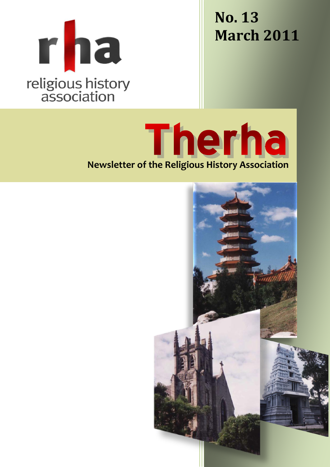

**No. 13 March 2011**

Therha **Newsletter of the Religious History Association**

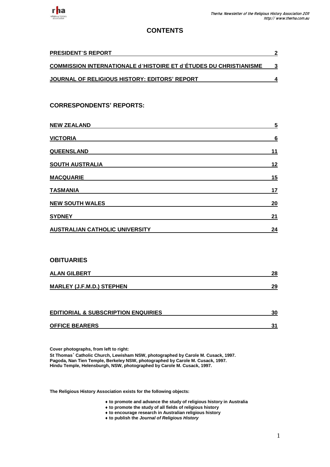

# **CONTENTS**

| <b>PRESIDENT'S REPORT</b>                                                | $\mathbf 2$             |
|--------------------------------------------------------------------------|-------------------------|
| <u>COMMISSION INTERNATIONALE d'HISTOIRE ET d'ÉTUDES DU CHRISTIANISME</u> | $\mathbf 3$             |
| <u>JOURNAL OF RELIGIOUS HISTORY: EDITORS' REPORT</u>                     | 4                       |
|                                                                          |                         |
| <b>CORRESPONDENTS' REPORTS:</b>                                          |                         |
|                                                                          |                         |
| <b>NEW ZEALAND</b>                                                       | $\overline{\mathbf{5}}$ |
| <b>VICTORIA</b>                                                          | 6                       |
| <u>QUEENSLAND</u>                                                        | 11                      |
| <u>SOUTH AUSTRALIA</u>                                                   | 12                      |
| <b>MACQUARIE</b>                                                         | 15                      |
| <b>TASMANIA</b>                                                          | 17                      |
| <b>NEW SOUTH WALES</b>                                                   | 20                      |
| <b>SYDNEY</b>                                                            | 21                      |
| <u>AUSTRALIAN CATHOLIC UNIVERSITY</u>                                    | 24                      |

## **OBITUARIES**

| <b>ALAN GILBERT</b>              | 28 |
|----------------------------------|----|
| <b>MARLEY (J.F.M.D.) STEPHEN</b> | 29 |

| <b>EDITIORIAL &amp; SUBSCRIPTION ENQUIRIES</b> |  |
|------------------------------------------------|--|
| <b>OFFICE BEARERS</b>                          |  |

**Cover photographs, from left to right:**

**St Thomas**' **Catholic Church, Lewisham NSW, photographed by Carole M. Cusack, 1997. Pagoda, Nan Tien Temple, Berkeley NSW, photographed by Carole M. Cusack, 1997. Hindu Temple, Helensburgh, NSW, photographed by Carole M. Cusack, 1997.**

**The Religious History Association exists for the following objects:**

- **to promote and advance the study of religious history in Australia**
- **to promote the study of all fields of religious history**
- **to encourage research in Australian religious history**
- **to publish the** *Journal of Religious History*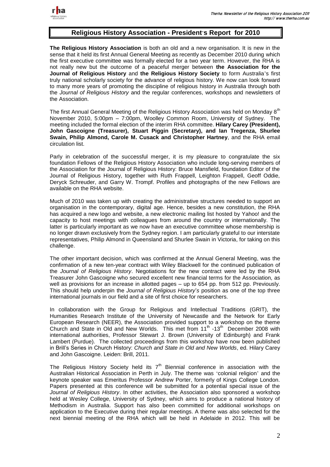

# **Religious History Association - President**'**s Report for 2010**

**The Religious History Association** is both an old and a new organisation. It is new in the sense that it held its first Annual General Meeting as recently as December 2010 during which the first executive committee was formally elected for a two year term. However, the RHA is not really new but the outcome of a peaceful merger between **the Association for the Journal of Religious History** and **the Religious History Society** to form Australia's first truly national scholarly society for the advance of religious history. We now can look forward to many more years of promoting the discipline of religious history in Australia through both the *Journal of Religious History* and the regular conferences, workshops and newsletters of the Association.

The first Annual General Meeting of the Religious History Association was held on Monday 8<sup>th</sup> November 2010, 5:00pm – 7:00pm, Woolley Common Room, University of Sydney. The meeting included the formal election of the interim RHA committee. **Hilary Carey (President), John Gascoigne (Treasurer), Stuart Piggin (Secretary), and Ian Tregenza, Shurlee Swain, Philip Almond, Carole M. Cusack and Christopher Hartney**, and the RHA email circulation list.

Parly in celebration of the successful merger, it is my pleasure to congratulate the six foundation Fellows of the Religious History Association who include long-serving members of the Association for the Journal of Religious History: Bruce Mansfield, foundation Editor of the Journal of Religious History, together with Ruth Frappell, Leighton Frappell, Geoff Oddie, Deryck Schreuder, and Garry W. Trompf. Profiles and photographs of the new Fellows are available on the RHA website.

Much of 2010 was taken up with creating the administrative structures needed to support an organisation in the contemporary, digital age. Hence, besides a new constitution, the RHA has acquired a new logo and website, a new electronic mailing list hosted by Yahoo! and the capacity to host meetings with colleagues from around the country or internationally. The latter is particularly important as we now have an executive committee whose membership is no longer drawn exclusively from the Sydney region. I am particularly grateful to our interstate representatives, Philip Almond in Queensland and Shurlee Swain in Victoria, for taking on this challenge.

The other important decision, which was confirmed at the Annual General Meeting, was the confirmation of a new ten-year contract with Wiley Blackwell for the continued publication of the *Journal of Religious History*. Negotiations for the new contract were led by the RHA Treasurer John Gascoigne who secured excellent new financial terms for the Association, as well as provisions for an increase in allotted pages – up to 654 pp. from 512 pp. Previously. This should help underpin the *Journal of Religious History*'*s* position as one of the top three international journals in our field and a site of first choice for researchers.

In collaboration with the Group for Religious and Intellectual Traditions (GRIT), the Humanities Research Institute of the University of Newcastle and the Network for Early European Research (NEER), the Association provided support to a workshop on the theme Church and State in Old and New Worlds. This met from  $11<sup>th</sup>$  -13<sup>th</sup> December 2008 with international authorities, Professor Stewart J. Brown (University of Edinburgh) and Frank Lambert (Purdue). The collected proceedings from this workshop have now been published in Brill's Series in Church History: *Church and State in Old and New Worlds*, ed. Hilary Carey and John Gascoigne. Leiden: Brill, 2011.

The Religious History Society held its  $7<sup>th</sup>$  Biennial conference in association with the Australian Historical Association in Perth in July. The theme was 'colonial religion' and the keynote speaker was Emeritus Professor Andrew Porter, formerly of Kings College London. Papers presented at this conference will be submitted for a potential special issue of the *Journal of Religious History*. In other activities, the Association also sponsored a workshop held at Wesley College, University of Sydney, which aims to produce a national history of Methodism in Australia. Support has also been committed for additional workshops on application to the Executive during their regular meetings. A theme was also selected for the next biennial meeting of the RHA which will be held in Adelaide in 2012. This will be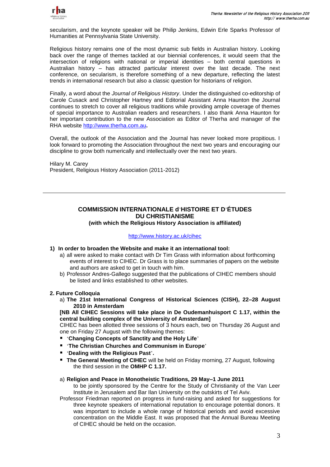

secularism, and the keynote speaker will be Philip Jenkins, Edwin Erle Sparks Professor of Humanities at Pennsylvania State University.

Religious history remains one of the most dynamic sub fields in Australian history. Looking back over the range of themes tackled at our biennial conferences, it would seem that the intersection of religions with national or imperial identities – both central questions in Australian history – has attracted particular interest over the last decade. The next conference, on secularism, is therefore something of a new departure, reflecting the latest trends in international research but also a classic question for historians of religion.

Finally, a word about the *Journal of Religious History*. Under the distinguished co-editorship of Carole Cusack and Christopher Hartney and Editorial Assistant Anna Haunton the Journal continues to stretch to cover all religious traditions while providing ample coverage of themes of special importance to Australian readers and researchers. I also thank Anna Haunton for her important contribution to the new Association as Editor of Therha and manager of the RHA website [http://www.therha.com.au](http://www.therha.com.au/)**.**

Overall, the outlook of the Association and the Journal has never looked more propitious. I look forward to promoting the Association throughout the next two years and encouraging our discipline to grow both numerically and intellectually over the next two years.

Hilary M. Carey President, Religious History Association (2011-2012)

# **COMMISSION INTERNATIONALE d**'**HISTOIRE ET D**'**ÉTUDES DU CHRISTIANISME**

**(with which the Religious History Association is affiliated)**

### <http://www.history.ac.uk/cihec>

- **1) In order to broaden the Website and make it an international tool:**
	- a) all were asked to make contact with Dr Tim Grass with information about forthcoming events of interest to CIHEC. Dr Grass is to place summaries of papers on the website and authors are asked to get in touch with him.
	- b) Professor Andres-Gallego suggested that the publications of CIHEC members should be listed and links established to other websites.

## **2. Future Colloquia**

a) **The 21st International Congress of Historical Sciences (CISH), 22–28 August 2010 in Amsterdam**

**[NB All CIHEC Sessions will take place in De Oudemanhuisport C 1.17, within the central building complex of the University of Amsterdam]**

CIHEC has been allotted three sessions of 3 hours each, two on Thursday 26 August and one on Friday 27 August with the following themes:

- '**Changing Concepts of Sanctity and the Holy Life**'
- '**The Christian Churches and Communism in Europe**'
- '**Dealing with the Religious Past**'**.**
- **The General Meeting of CIHEC** will be held on Friday morning, 27 August, following the third session in the **OMHP C 1.17.**

## a) **Religion and Peace in Monotheistic Traditions, 29 May–1 June 2011**

to be jointly sponsored by the Centre for the Study of Christianity of the Van Leer Institute in Jerusalem and Bar Ilan University on the outskirts of Tel Aviv.

Professor Friedman reported on progress in fund-raising and asked for suggestions for three keynote speakers of international reputation to encourage potential donors. It was important to include a whole range of historical periods and avoid excessive concentration on the Middle East. It was proposed that the Annual Bureau Meeting of CIHEC should be held on the occasion.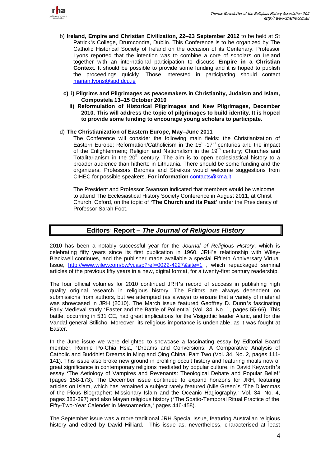

- b) **Ireland, Empire and Christian Civilization, 22–23 September 2012** to be held at St Patrick's College, Drumcondra, Dublin. This Conference is to be organized by The Catholic Historical Society of Ireland on the occasion of its Centenary. Professor Lyons reported that the intention was to combine a core of scholars on Ireland together with an international participation to discuss **Empire in a Christian Context.** It should be possible to provide some funding and it is hoped to publish the proceedings quickly. Those interested in participating should contact [marian.lyons@spd.dcu.ie](mailto:marian.lyons@spd.dcu.ie)
	- **c) i) Pilgrims and Pilgrimages as peacemakers in Christianity, Judaism and Islam, Compostela 13–15 October 2010**
		- **ii) Reformulation of Historical Pilgrimages and New Pilgrimages, December 2010. This will address the topic of pilgrimages to build identity. It is hoped to provide some funding to encourage young scholars to participate.**

#### d) **The Christianization of Eastern Europe, May–June 2011**

The Conference will consider the following main fields: the Christianization of Eastern Europe; Reformation/Catholicism in the  $15<sup>th</sup>$ -17<sup>th</sup> centuries and the impact of the Enlightenment; Religion and Nationalism in the 19<sup>th</sup> century; Churches and Totalitarianism in the  $20<sup>th</sup>$  century. The aim is to open ecclesiastical history to a broader audience than hitherto in Lithuania. There should be some funding and the organizers, Professors Baronas and Streikus would welcome suggestions from CIHEC for possible speakers. **For information** [contacts@kma.lt](mailto:contacts@kma.lt)

The President and Professor Swanson indicated that members would be welcome to attend The Ecclesiastical History Society Conference in August 2011, at Christ Church, Oxford, on the topic of '**The Church and its Past**' under the Presidency of Professor Sarah Foot.

# **Editors**' **Report –** *The Journal of Religious History*

2010 has been a notably successful year for the *Journal of Religious History*, which is celebrating fifty years since its first publication in 1960. JRH's relationship with Wiley-Blackwell continues, and the publisher made available a special Fiftieth Anniversary Virtual Issue, <http://www.wiley.com/bw/vi.asp?ref=0022-4227&site=1>, which repackaged seminal articles of the previous fifty years in a new, digital format, for a twenty-first century readership.

The four official volumes for 2010 continued JRH's record of success in publishing high quality original research in religious history. The Editors are always dependent on submissions from authors, but we attempted (as always) to ensure that a variety of material was showcased in JRH (2010). The March issue featured Geoffrey D. Dunn's fascinating Early Medieval study 'Easter and the Battle of Pollentia' (Vol. 34, No. 1, pages 55-66). This battle, occurring in 531 CE, had great implications for the Visigothic leader Alaric, and for the Vandal general Stilicho. Moreover, its religious importance is undeniable, as it was fought at Easter.

In the June issue we were delighted to showcase a fascinating essay by Editorial Board member, Ronnie Po-Chia Hsia, 'Dreams and Conversions: A Comparative Analysis of Catholic and Buddhist Dreams in Ming and Qing China. Part Two (Vol. 34, No. 2, pages 111- 141). This issue also broke new ground in profiling occult history and featuring motifs now of great significance in contemporary religions mediated by popular culture, in David Keyworth's essay 'The Aetiology of Vampires and Revenants: Theological Debate and Popular Belief' (pages 158-173). The December issue continued to expand horizons for JRH, featuring articles on Islam, which has remained a subject rarely featured (Nile Green's 'The Dilemmas of the Pious Biographer: Missionary Islam and the Oceanic Hagiography,' Vol. 34, No. 4, pages 383-397) and also Mayan religious history ('The Spatio-Temporal Ritual Practice of the Fifty-Two-Year Calender in Mesoamerica,' pages 446-458).

The September issue was a more traditional JRH Special Issue, featuring Australian religious history and edited by David Hilliard. This issue as, nevertheless, characterised at least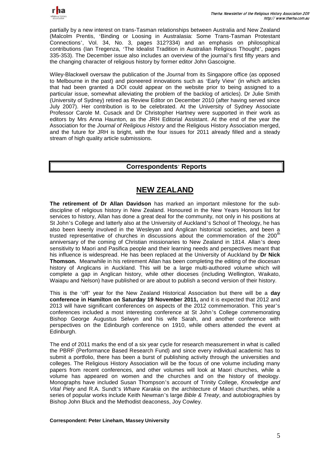

partially by a new interest on trans-Tasman relationships between Australia and New Zealand (Malcolm Prentis, 'Binding or Loosing in Australasia: Some Trans-Tasman Protestant Connections', Vol. 34, No. 3, pages 312?334) and an emphasis on philosophical contributions (Ian Tregenza, 'The Idealist Tradition in Australian Religious Thought', pages 335-353). The December issue also includes an overview of the journal's first fifty years and the changing character of religious history by former editor John Gascoigne.

Wiley-Blackwell oversaw the publication of the *Journal* from its Singapore office (as opposed to Melbourne in the past) and pioneered innovations such as 'Early View' (in which articles that had been granted a DOI could appear on the website prior to being assigned to a particular issue, somewhat alleviating the problem of the backlog of articles). Dr Julie Smith (University of Sydney) retired as Review Editor on December 2010 (after having served since July 2007). Her contribution is to be celebrated. At the University of Sydney Associate Professor Carole M. Cusack and Dr Christopher Hartney were supported in their work as editors by Mrs Anna Haunton, as the JRH Editorial Assistant. At the end of the year the Association for the *Journal of Religious History* and the Religious History Association merged, and the future for JRH is bright, with the four issues for 2011 already filled and a steady stream of high quality article submissions.

# **Correspondents**' **Reports**

# **NEW ZEALAND**

**The retirement of Dr Allan Davidson** has marked an important milestone for the subdiscipline of religious history in New Zealand. Honoured in the New Years Honours list for services to history, Allan has done a great deal for the community, not only in his positions at St John's College and latterly also at the University of Auckland's School of Theology, he has also been keenly involved in the Wesleyan and Anglican historical societies, and been a trusted representative of churches in discussions about the commemoration of the  $200<sup>th</sup>$ anniversary of the coming of Christian missionaries to New Zealand in 1814. Allan's deep sensitivity to Maori and Pasifica people and their learning needs and perspectives meant that his influence is widespread. He has been replaced at the University of Auckland by **Dr Nick Thomson.** Meanwhile in his retirement Allan has been completing the editing of the diocesan history of Anglicans in Auckland. This will be a large multi-authored volume which will complete a gap in Anglican history, while other dioceses (including Wellington, Waikato, Waiapu and Nelson) have published or are about to publish a second version of their history.

This is the 'off' year for the New Zealand Historical Association but there will be a **day conference in Hamilton on Saturday 19 November 2011,** and it is expected that 2012 and 2013 will have significant conferences on aspects of the 2012 commemoration. This year's conferences included a most interesting conference at St John's College commemorating Bishop George Augustus Selwyn and his wife Sarah, and another conference with perspectives on the Edinburgh conference on 1910, while others attended the event at Edinburgh.

The end of 2011 marks the end of a six year cycle for research measurement in what is called the PBRF (Performance Based Research Fund) and since every individual academic has to submit a portfolio, there has been a burst of publishing activity through the universities and colleges. The Religious History Association will be the focus of one volume including many papers from recent conferences, and other volumes will look at Maori churches, while a volume has appeared on women and the churches and on the history of theology. Monographs have included Susan Thompson's account of Trinity College, *Knowledge and Vital Piety* and R.A. Sundt's *Whare Karakia* on the architecture of Maori churches, while a series of popular works include Keith Newman's large *Bible & Treaty*, and autobiographies by Bishop John Bluck and the Methodist deaconess, Joy Cowley.

#### **Correspondent: Peter Lineham, Massey University**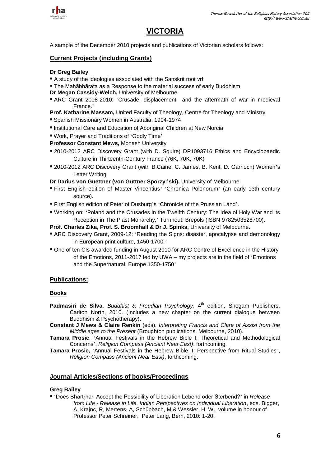

# **VICTORIA**

A sample of the December 2010 projects and publications of Victorian scholars follows:

## **Current Projects (including Grants)**

### **Dr Greg Bailey**

- A study of the ideologies associated with the Sanskrit root vrt
- The Mahābhārata as a Response to the material success of early Buddhism
- **Dr Megan Cassidy-Welch,** University of Melbourne
- ARC Grant 2008-2010: 'Crusade, displacement and the aftermath of war in medieval France.'
- **Prof. Katharine Massam,** United Faculty of Theology, Centre for Theology and Ministry
- Spanish Missionary Women in Australia, 1904-1974
- Institutional Care and Education of Aboriginal Children at New Norcia
- Work, Prayer and Traditions of 'Godly Time'
- **Professor Constant Mews,** Monash University
- 2010-2012 ARC Discovery Grant (with D. Squire) DP1093716 Ethics and Encyclopaedic Culture in Thirteenth-Century France (76K, 70K, 70K)
- 2010-2012 ARC Discovery Grant (with B.Caine, C. James, B. Kent, D. Garrioch) Women's Letter Writing

**Dr Darius von Guettner (von Güttner Sporzy**ń**ski),** University of Melbourne

- First English edition of Master Vincentius' 'Chronica Polonorum' (an early 13th century source).
- First English edition of Peter of Dusburg's 'Chronicle of the Prussian Land'.
- Working on: 'Poland and the Crusades in the Twelfth Century: The Idea of Holy War and its Reception in The Piast Monarchy,' Turnhout: Brepols (ISBN 9782503528700).
- **Prof. Charles Zika, Prof. S. Broomhall & Dr J. Spinks,** University of Melbourne.
- ARC Discovery Grant, 2009-12: 'Reading the Signs: disaster, apocalypse and demonology in European print culture, 1450-1700.'
- One of ten CIs awarded funding in August 2010 for ARC Centre of Excellence in the History of the Emotions, 2011-2017 led by UWA – my projects are in the field of 'Emotions and the Supernatural, Europe 1350-1750'

## **Publications:**

## **Books**

- **Padmasiri de Silva,** *Buddhist & Freudian Psychology*, 4<sup>th</sup> edition, Shogam Publishers, Carlton North, 2010. (Includes a new chapter on the current dialogue between Buddhism & Psychotherapy).
- **Constant J Mews & Claire Renkin** (eds), *Interpreting Francis and Clare of Assisi from the Middle ages to the Present* (Broughton publications, Melbourne, 2010).
- **Tamara Prosic**, 'Annual Festivals in the Hebrew Bible I: Theoretical and Methodological Concerns', *Religion Compass (Ancient Near East)*, forthcoming.
- **Tamara Prosic,** 'Annual Festivals in the Hebrew Bible II: Perspective from Ritual Studies', *Religion Compass (Ancient Near East)*, forthcoming.

## **Journal Articles/Sections of books/Proceedings**

## **Greg Bailey**

 'Does Bhartṛhari Accept the Possibility of Liberation Lebend oder Sterbend?' in *Release from Life - Release in Life. Indian Perspectives on Individual Liberation*, eds. Bigger, A, Krajnc, R, Mertens, A, Schüpbach, M & Wessler, H. W., volume in honour of Professor Peter Schreiner, Peter Lang, Bern, 2010: 1-20.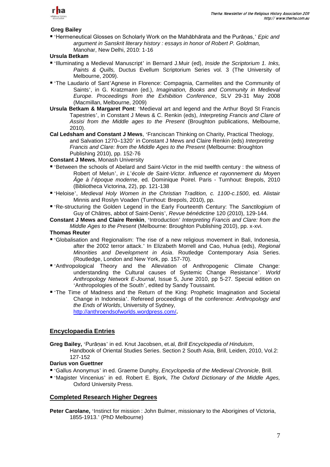

## **Greg Bailey**

 'Hermeneutical Glosses on Scholarly Work on the Mahābhārata and the Purāṇas,' *Epic and argument in Sanskrit literary history : essays in honor of Robert P. Goldman,*  Manohar, New Delhi, 2010: 1-16

## **Ursula Betkam**

- 'Illuminating a Medieval Manuscript' in Bernard J.Muir (ed), *Inside the Scriptorium 1. Inks, Paints & Quills,* Ductus Evellum Scriptorium Series vol. 3 (The University of Melbourne, 2009).
- 'The Laudario of Sant'Agnese in Florence: Compagnia, Carmelites and the Community of Saints', in G. Kratzmann (ed.), *Imagination, Books and Community in Medieval Europe*. *Proceedings from the Exhibition Conference*, SLV 29-31 May 2008 (Macmillan, Melbourne, 2009)
- **Ursula Betkam & Margaret Pont**: 'Medieval art and legend and the Arthur Boyd St Francis Tapestries', in Constant J Mews & C. Renkin (eds), *Interpreting Francis and Clare of Assisi from the Middle ages to the Present* (Broughton publications, Melbourne, 2010).
- **Cal Ledsham and Constant J Mews**, 'Franciscan Thinking on Charity, Practical Theology, and Salvation 1270–1320' in Constant J Mews and Claire Renkin (eds) *Interpreting Francis and Clare: from the Middle Ages to the Present* (Melbourne: Broughton Publishing 2010), pp. 152-76

## **Constant J Mews**, Monash University

- 'Between the schools of Abelard and Saint-Victor in the mid twelfth century : the witness of Robert of Melun', *in L*'*école de Saint-Victor. Influence et rayonnement du Moyen Âge à l*'*époque moderne*, ed. Dominique Poirel. Paris - Turnhout: Brepols, 2010 (Bibliotheca Victorina, 22), pp. 121-138
- 'Heloise', *Medieval Holy Women in the Christian Tradition, c. 1100-c.1500*, ed. Alistair Minnis and Roslyn Voaden (Turnhout: Brepols, 2010), pp.
- 'Re-structuring the Golden Legend in the Early Fourteenth Century: The *Sanctilogium* of Guy of Châtres, abbot of Saint-Denis', *Revue bénédictine* 120 (2010), 129-144.
- **Constant J Mews and Claire Renkin**, 'Introduction' *Interpreting Francis and Clare: from the Middle Ages to the Present* (Melbourne: Broughton Publishing 2010), pp. x-xvi.

#### **Thomas Reuter**

- 'Globalisation and Regionalism: The rise of a new religious movement in Bali, Indonesia, after the 2002 terror attack.' In Elizabeth Morrell and Cao, Huhua (eds), *Regional Minorities and Development in Asia*. Routledge Contemporary Asia Series. (Routledge, London and New York, pp. 157-70).
- 'Anthropological Theory and the Alleviation of Anthropogenic Climate Change: understanding the Cultural causes of Systemic Change Resistance'. *World Anthropology Network E-Journal*, Issue 5, June 2010, pp 5-27. Special edition on 'Anthropologies of the South', edited by Sandy Toussaint.
- 'The Time of Madness and the Return of the King: Prophetic Imagination and Societal Change in Indonesia'. Refereed proceedings of the conference: *Anthropology and the Ends of Worlds*, University of Sydney, <http://anthroendsofworlds.wordpress.com/>**.**

## **Encyclopaedia Entries**

- **Greg Bailey,** 'Purāṇas' in ed. Knut Jacobsen, et.al, *Brill Encyclopedia of Hinduism*,
	- Handbook of Oriental Studies Series. Section 2 South Asia, Brill, Leiden, 2010, Vol.2: 127-152

## **Darius von Guettner**

- 'Gallus Anonymus' in ed. Graeme Dunphy, *Encyclopedia of the Medieval Chronicle*, Brill.
- 'Magister Vincenius' in ed. Robert E. Bjork, *The Oxford Dictionary of the Middle Ages,* Oxford University Press.

## **Completed Research Higher Degrees**

**Peter Carolane, 'Instinct for mission : John Bulmer, missionary to the Aborigines of Victoria,** 1855-1913.' (PhD Melbourne)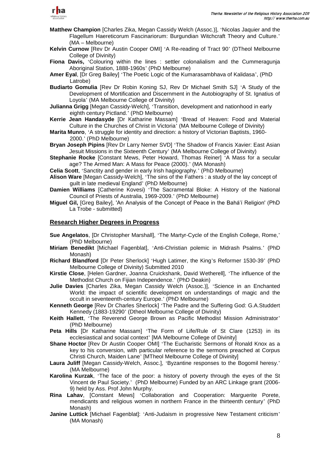

- **Matthew Champion** [Charles Zika, Megan Cassidy Welch (Assoc.)], 'Nicolas Jaquier and the Flagellum Haereticorum Fascinariorum: Burgundian Witchcraft Theory and Culture.' (MA – Melbourne)
- **Kelvin Curnow** [Rev Dr Austin Cooper OMI] 'A Re-reading of Tract 90' (DTheol Melbourne College of Divinity)
- **Fiona Davis,** 'Colouring within the lines : settler colonalialism and the Cummeragunja Aboriginal Station, 1888-1960s' (PhD Melbourne)
- **Amer Eyal**, [Dr Greg Bailey] 'The Poetic Logic of the Kumarasambhava of Kalidasa', (PhD Latrobe)
- **Budiarto Gomulia** [Rev Dr Robin Koning SJ, Rev Dr Michael Smith SJ] 'A Study of the Development of Mortification and Discernment in the Autobiography of St. Ignatius of Loyola' (MA Melbourne College of Divinity)
- **Julianna Grigg** [Megan Cassidy-Welch], 'Transition, development and nationhood in early eighth century Pictland.' (PhD Melbourne)
- **Kerrie Jean Handasyde** [Dr Katharine Massam] 'Bread of Heaven: Food and Material Culture in the Churches of Christ in Victoria' (MA Melbourne College of Divinity)
- **Marita Munro**, 'A struggle for identity and direction: a history of Victorian Baptists, 1960- 2000.' (PhD Melbourne)
- **Bryan Joseph Pipins** [Rev Dr Larry Nemer SVD] 'The Shadow of Francis Xavier: East Asian Jesuit Missions in the Sixteenth Century' (MA Melbourne College of Divinity)
- **Stephanie Rocke** [Constant Mews, Peter Howard, Thomas Reiner] 'A Mass for a secular age? The Armed Man: A Mass for Peace (2000).' (MA Monash)
- **Celia Scott**, 'Sanctity and gender in early Irish hagiography.' (PhD Melbourne)
- **Alison Ware** [Megan Cassidy-Welch], 'The sins of the Fathers : a study of the lay concept of guilt in late medieval England' (PhD Melbourne)
- **Damien Williams** [Catherine Kovesi) 'The Sacramental Bloke: A History of the National Council of Priests of Australia, 1969-2009.' (PhD Melbourne)
- **Miguel Gil,** [Greg Bailey], 'An Analysis of the Concept of Peace in the Bahá'í Religion' (PhD La Trobe - submitted)

#### **Research Higher Degrees in Progress**

- **Sue Angelatos**, [Dr Christopher Marshall], 'The Martyr-Cycle of the English College, Rome,' (PhD Melbourne)
- **Miriam Benedikt** [Michael Fagenblat], 'Anti-Christian polemic in Midrash Psalms.' (PhD Monash)
- **Richard Blandford** [Dr Peter Sherlock] 'Hugh Latimer, the King's Reformer 1530-39' (PhD Melbourne College of Divinity) Submitted 2010
- **Kirstie Close**, [Helen Gardner, Joanna Cruickshank, David Wetherell], 'The influence of the Methodist Church on Fijian Independence.' (PhD Deakin)
- **Julie Davies** [Charles Zika, Megan Cassidy Welch (Assoc.)], 'Science in an Enchanted World: the impact of scientific development on understandings of magic and the occult in seventeenth-century Europe.' (PhD Melbourne)
- **Kenneth George** [Rev Dr Charles Sherlock] 'The Padre and the Suffering God: G.A.Studdert Kennedy (1883-19290' (Dtheol Melbourne College of Divinity)
- **Keith Hallett**, 'The Reverend George Brown as Pacific Methodist Mission Administrator' (PhD Melbourne)
- **Peta Hills** [Dr Katharine Massam] 'The Form of Life/Rule of St Clare (1253) in its ecclesiastical and social context' [MA Melbourne College of Divinity]
- **Shane Hoctor** [Rev Dr Austin Cooper OMI] 'The Eucharistic Sermons of Ronald Knox as a key to his conversion, with particular reference to the sermons preached at Corpus Christi Church, Maiden Lane' [MTheol Melbourne College of Divinity]
- **Laura Juliff** [Megan Cassidy-Welch, Assoc.], 'Byzantine responses to the Bogomil heresy.' (MA Melbourne)
- **Karolina Kurzak**, 'The face of the poor: a history of poverty through the eyes of the St Vincent de Paul Society.' (PhD Melbourne) Funded by an ARC Linkage grant (2006- 9) held by Ass. Prof John Murphy.
- **Rina Lahav**, [Constant Mews] 'Collaboration and Cooperation: Marguerite Porete, mendicants and religious women in northern France in the thirteenth century' (PhD Monash)
- **Janine Luttick** [Michael Fagenblat]: 'Anti-Judaism in progressive New Testament criticism' (MA Monash)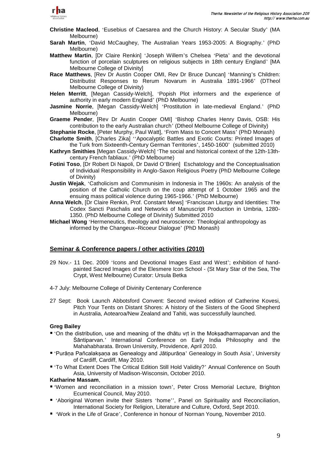

- **Christine Macleod**, 'Eusebius of Caesarea and the Church History: A Secular Study' (MA Melbourne)
- **Sarah Martin**, 'David McCaughey, The Australian Years 1953-2005: A Biography.' (PhD Melbourne)
- **Matthew Martin**, [Dr Claire Renkin] 'Joseph Willem's Chelsea 'Pieta' and the devotional function of porcelain sculptures on religious subjects in 18th century England' [MA Melbourne College of Divinity]
- **Race Matthews**, [Rev Dr Austin Cooper OMI, Rev Dr Bruce Duncan] 'Manning's Children: Distributist Responses to Rerum Novarum in Australia 1891-1966' (DTheol Melbourne College of Divinity)
- **Helen Merritt**, [Megan Cassidy-Welch], 'Popish Plot informers and the experience of authority in early modern England' (PhD Melbourne)
- **Jasmine Norrie**, [Megan Cassidy-Welch] 'Prostitution in late-medieval England.' (PhD Melbourne)
- **Graeme Pender**, [Rev Dr Austin Cooper OMI] 'Bishop Charles Henry Davis, OSB: His contribution to the early Australian church' (Dtheol Melbourne College of Divinity)
- **Stephanie Rocke**, [Peter Murphy, Paul Watt], 'From Mass to Concert Mass' (PhD Monash) **Charlotte Smith**, [Charles Zika] ''Apocalyptic Battles and Exotic Courts: Printed Images of
- the Turk from Sixteenth-Century German Territories', 1450-1600' (submitted 2010) **Kathryn Smithies** [Megan Cassidy-Welch] 'The social and historical context of the 12th-13thcentury French fabliaux.' (PhD Melbourne)
- **Fotini Toso**, [Dr Robert Di Napoli, Dr David O'Brien] Eschatology and the Conceptualisation of Individual Responsibility in Anglo-Saxon Religious Poetry (PhD Melbourne College of Divinity)
- **Justin Wejak**, 'Catholicism and Communisim in Indonesia in The 1960s: An analysis of the position of the Catholic Church on the coup attempt of 1 October 1965 and the ensuing mass political violence during 1965-1966.' (PhD Melbourne)
- **Anna Welch**, [Dr Claire Renkin, Prof. Constant Mews] 'Franciscan Liturgy and Identities: The Codex Sancti Paschalis and Networks of Manuscript Production in Umbria, 1280- 1350. (PhD Melbourne College of Divinity) Submitted 2010
- **Michael Wong** 'Hermeneutics, theology and neuroscience: Theological anthropology as informed by the Changeux–Ricoeur Dialogue' (PhD Monash)

## **Seminar & Conference papers / other activities (2010)**

- 29 Nov.- 11 Dec. 2009 'Icons and Devotional Images East and West'; exhibition of handpainted Sacred Images of the Elesmere Icon School - (St Mary Star of the Sea, The Crypt, West Melbourne) Curator: Ursula Betka
- 4-7 July: Melbourne College of Divinity Centenary Conference
- 27 Sept: Book Launch Abbotsford Convent: Second revised edition of Catherine Kovesi, Pitch Your Tents on Distant Shores: A history of the Sisters of the Good Shepherd in Australia, Aotearoa/New Zealand and Tahiti, was successfully launched.

#### **Greg Bailey**

- 'On the distribution, use and meaning of the dhātu vṛt in the Mokṣadharmaparvan and the Śāntiparvan.' International Conference on Early India Philosophy and the Mahahabharata. Brown University, Providence, April 2010.
- 'Purāṇa Pañcalakṣaṇa as Genealogy and Jātipurāṇa' Genealogy in South Asia', University of Cardiff, Cardiff, May 2010.
- 'To What Extent Does The Critical Edition Still Hold Validity?' Annual Conference on South Asia, University of Madison-Wisconsin, October 2010.

## **Katharine Massam**,

- 'Women and reconciliation in a mission town', Peter Cross Memorial Lecture, Brighton Ecumenical Council, May 2010.
- 'Aboriginal Women invite their Sisters 'home'', Panel on Spirituality and Reconciliation, International Society for Religion, Literature and Culture, Oxford, Sept 2010.
- 'Work in the Life of Grace', Conference in honour of Norman Young, November 2010.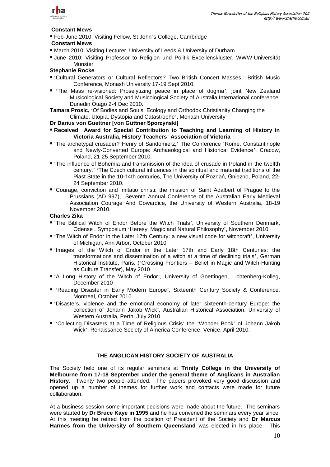

#### **Constant Mews**

■ Feb-June 2010: Visiting Fellow, St John's College, Cambridge

## **Constant Mews**

- March 2010: Visiting Lecturer, University of Leeds & University of Durham
- June 2010: Visiting Professor to Religion und Politik Excellenskluster, WWW-Universität Münster

## **Stephanie Rocke**

- 'Cultural Generators or Cultural Reflectors? Two British Concert Masses,' British Music Conference, Monash University 17-19 Sept 2010.
- 'The Mass re-visioned: Proselytizing peace in place of dogma', joint New Zealand Musicological Society and Musicological Society of Australia International conference, Dunedin Otago 2-4 Dec 2010.

**Tamara Prosic,** 'Of Bodies and Souls: Ecology and Orthodox Christianity Changing the Climate: Utopia, Dystopia and Catastrophe', Monash University

#### **Dr Darius von Guettner [von Güttner Sporzyński]**

- **Received Award for Special Contribution to Teaching and Learning of History in Victoria Australia, History Teachers**' **Association of Victoria**
- 'The archetypal crusader? Henry of Sandomierz,' The Conference 'Rome, Constantinople and Newly-Converted Europe: Archaeological and Historical Evidence', Cracow, Poland, 21-25 September 2010.
- 'The influence of Bohemia and transmission of the idea of crusade in Poland in the twelfth century,' 'The Czech cultural influences in the spiritual and material traditions of the Piast State in the 10-14th centuries, The University of Poznań, Gniezno, Poland, 22- 24 September 2010.
- 'Courage, conviction and imitatio christi: the mission of Saint Adalbert of Prague to the Prussians (AD 997),' Seventh Annual Conference of the Australian Early Medieval Association Courage And Cowardice, the University of Western Australia, 18-19 November 2010.

# **Charles Zika**

- 'The Biblical Witch of Endor Before the Witch Trials', University of Southern Denmark, Odense , Symposium 'Heresy, Magic and Natural Philosophy', November 2010
- 'The Witch of Endor in the Later 17th Century: a new visual code for witchcraft', University of Michigan, Ann Arbor, October 2010
- 'Images of the Witch of Endor in the Later 17th and Early 18th Centuries: the transformations and dissemination of a witch at a time of declining trials', German Historical Institute, Paris, ('Crossing Frontiers – Belief in Magic and Witch-Hunting as Culture Transfer), May 2010
- 'A Long History of the Witch of Endor', University of Goettingen, Lichtenberg-Kolleg, December 2010
- 'Reading Disaster in Early Modern Europe', Sixteenth Century Society & Conference, Montreal, October 2010
- 'Disasters, violence and the emotional economy of later sixteenth-century Europe: the collection of Johann Jakob Wick', Australian Historical Association, University of Western Australia, Perth, July 2010
- 'Collecting Disasters at a Time of Religious Crisis: the 'Wonder Book' of Johann Jakob Wick', Renaissance Society of America Conference, Venice, April 2010.

## **THE ANGLICAN HISTORY SOCIETY OF AUSTRALIA**

The Society held one of its regular seminars at **Trinity College in the University of Melbourne from 17-18 September under the general theme of Anglicans in Australian History.** Twenty two people attended. The papers provoked very good discussion and opened up a number of themes for further work and contacts were made for future collaboration.

At a business session some important decisions were made about the future. The seminars were started by **Dr Bruce Kaye in 1995** and he has convened the seminars every year since. At this meeting he retired from the position of President of the Society and **Dr Marcus Harmes from the University of Southern Queensland** was elected in his place. This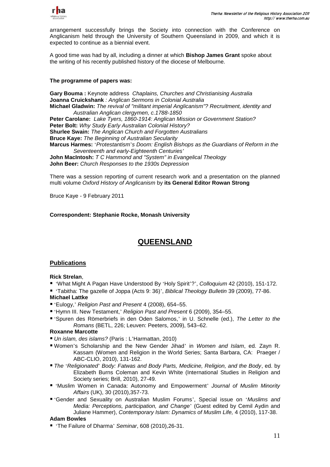

arrangement successfully brings the Society into connection with the Conference on Anglicanism held through the University of Southern Queensland in 2009, and which it is expected to continue as a biennial event.

A good time was had by all, including a dinner at which **Bishop James Grant** spoke about the writing of his recently published history of the diocese of Melbourne.

## **The programme of papers was:**

**Gary Bouma :** Keynote address *Chaplains, Churches and Christianising Australia* **Joanna Cruickshank** *: Anglican Sermons in Colonial Australia* **Michael Gladwin:** *The revival of "militant imperial Anglicanism"? Recruitment, identity and Australian Anglican clergymen, c.1788-1850* **Peter Carolane:** *Lake Tyers, 1860-1914: Anglican Mission or Government Station?* **Peter Bolt:** *Why Study Early Australian Colonial History?* **Shurlee Swain:** *The Anglican Church and Forgotten Australians* **Bruce Kaye:** *The Beginning of Australian Secularity* **Marcus Harmes:** '*Protestantism*'*s Doom: English Bishops as the Guardians of Reform in the Seventeenth and early-Eighteenth Centuries*' **John MacIntosh:** *T C Hammond and "System" in Evangelical Theology* **John Beer:** *Church Responses to the 1930s Depression*

There was a session reporting of current research work and a presentation on the planned multi volume *Oxford History of Anglicanism* by **its General Editor Rowan Strong**

Bruce Kaye - 9 February 2011

## **Correspondent: Stephanie Rocke, Monash University**

# **QUEENSLAND**

## **Publications**

## **Rick Strelan**,

'What Might A Pagan Have Understood By 'Holy Spirit'?', *Colloquium* 42 (2010), 151-172.

 'Tabitha: The gazelle of Joppa (Acts 9: 36)', *Biblical Theology Bulletin* 39 (2009), 77-86. **Michael Lattke**

- 'Eulogy,' *Religion Past and Present* 4 (2008), 654–55.
- 'Hymn III. New Testament,' *Religion Past and Present* 6 (2009), 354–55.
- 'Spuren des Römerbriefs in den Oden Salomos,' in U. Schnelle (ed.), *The Letter to the Romans* (BETL, 226; Leuven: Peeters, 2009), 543–62.

## **Roxanne Marcotte**

- *Un islam, des islams?* (Paris : L'Harmattan, 2010)
- Women's Scholarship and the New Gender Jihad' in *Women and Islam*, ed. Zayn R. Kassam (Women and Religion in the World Series; Santa Barbara, CA: Praeger / ABC-CLIO, 2010), 131-162.
- *The* '*Religionated*' *Body: Fatwas and Body Parts, Medicine, Religion, and the Body*, ed. by Elizabeth Burns Coleman and Kevin White (International Studies in Religion and Society series; Brill, 2010), 27-49.
- 'Muslim Women in Canada: Autonomy and Empowerment' *Journal of Muslim Minority Affairs* (UK), 30 (2010),357-73.
- 'Gender and Sexuality on Australian Muslim Forums', Special issue on '*Muslims and Media: Perceptions, participation, and Change*' (Guest edited by Cemil Aydin and Juliane Hammer), *Contemporary Islam: Dynamics of Muslim Life,* 4 (2010), 117-38.

#### **Adam Bowles**

'The Failure of Dharma' *Seminar*, 608 (2010),26-31.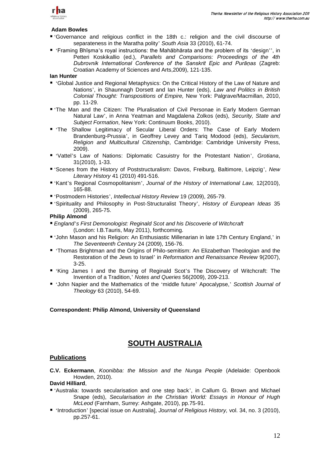

#### **Adam Bowles**

- 'Governance and religious conflict in the 18th c.: religion and the civil discourse of separateness in the Maratha polity' *South Asia* 33 (2010), 61-74.
- 'Framing Bhīṣma's royal instructions: the Mahābhārata and the problem of its 'design'', in Petteri Koskikallio (ed.), *Parallels and Comparisons: Proceedings of the 4th Dubrovnik International Conference of the Sanskrit Epic and Purāṇas* (Zagreb: Croatian Academy of Sciences and Arts,2009), 121-135.

**Ian Hunter**

- 'Global Justice and Regional Metaphysics: On the Critical History of the Law of Nature and Nations', in Shaunnagh Dorsett and Ian Hunter (eds), *Law and Politics in British Colonial Thought: Transpositions of Empire,* New York: Palgrave/Macmillan, 2010, pp. 11-29.
- 'The Man and the Citizen: The Pluralisation of Civil Personae in Early Modern German Natural Law', in Anna Yeatman and Magdalena Zolkos (eds), *Security, State and Subject Formation*, New York: Continuum Books, 2010).
- 'The Shallow Legitimacy of Secular Liberal Orders: The Case of Early Modern Brandenburg-Prussia', in Geoffrey Levey and Tariq Modood (eds), *Secularism, Religion and Multicultural Citizenship*, Cambridge: Cambridge University Press, 2009).
- 'Vattel's Law of Nations: Diplomatic Casuistry for the Protestant Nation', *Grotiana*, 31(2010), 1-33.
- 'Scenes from the History of Poststructuralism: Davos, Freiburg, Baltimore, Leipzig', *New Literary History* 41 (2010) 491-516.
- 'Kant's Regional Cosmopolitanism', *Journal of the History of International Law,* 12(2010), 165-88.
- 'Postmodern Histories', *Intellectual History Review* 19 (2009), 265-79.
- 'Spirituality and Philosophy in Post-Structuralist Theory', *History of European Ideas* 35 (2009), 265-75.

## **Philip Almond**

- *England*'*s First Demonologist: Reginald Scot and his Discoverie of Witchcraft* (London: I.B.Tauris, May 2011), forthcoming.
- 'John Mason and his Religion: An Enthusiastic Millenarian in late 17th Century England,' in *The Seventeenth Century* 24 (2009), 156-76.
- 'Thomas Brightman and the Origins of Philo-semitism: An Elizabethan Theologian and the Restoration of the Jews to Israel' in *Reformation and Renaissance Review* 9(2007), 3-25.
- 'King James I and the Burning of Reginald Scot's The Discovery of Witchcraft: The Invention of a Tradition,' *Notes and Queries* 56(2009), 209-213.
- 'John Napier and the Mathematics of the 'middle future' Apocalypse,' *Scottish Journal of Theology* 63 (2010), 54-69.

## **Correspondent: Philip Almond, University of Queensland**

# **SOUTH AUSTRALIA**

## **Publications**

**C.V. Eckermann**, *Koonibba: the Mission and the Nunga People* (Adelaide: Openbook Howden, 2010).

# **David Hilliard**,

- 'Australia: towards secularisation and one step back', in Callum G. Brown and Michael Snape (eds), *Secularisation in the Christian World: Essays in Honour of Hugh McLeod* (Farnham, Surrey: Ashgate, 2010), pp.75-91.
- 'Introduction' [special issue on Australia], *Journal of Religious History,* vol. 34, no. 3 (2010), pp.257-61.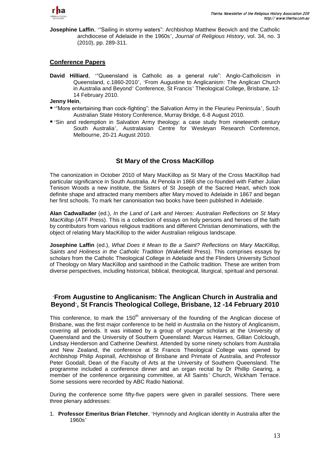

**Josephine Laffin**, "Sailing in stormy waters": Archbishop Matthew Beovich and the Catholic archdiocese of Adelaide in the 1960s', *Journal of Religious History*, vol. 34, no. 3 (2010), pp. 289-311.

## **Conference Papers**

David Hilliard, "Queensland is Catholic as a general rule": Anglo-Catholicism in Queensland, c.1860-2010', 'From Augustine to Anglicanism: The Anglican Church in Australia and Beyond' Conference, St Francis' Theological College, Brisbane, 12- 14 February 2010.

#### **Jenny Hein**,

- "More entertaining than cock-fighting": the Salvation Army in the Fleurieu Peninsula', South Australian State History Conference, Murray Bridge, 6-8 August 2010.
- 'Sin and redemption in Salvation Army theology: a case study from nineteenth century South Australia', Australasian Centre for Wesleyan Research Conference, Melbourne, 20-21 August 2010.

# **St Mary of the Cross MacKillop**

The canonization in October 2010 of Mary MacKillop as St Mary of the Cross MacKillop had particular significance in South Australia. At Penola in 1866 she co-founded with Father Julian Tenison Woods a new institute, the Sisters of St Joseph of the Sacred Heart, which took definite shape and attracted many members after Mary moved to Adelaide in 1867 and began her first schools. To mark her canonisation two books have been published in Adelaide.

**Alan Cadwallader** (ed.), *In the Land of Lark and Heroes: Australian Reflections on St Mary MacKillop* (ATF Press). This is a collection of essays on holy persons and heroes of the faith by contributors from various religious traditions and different Christian denominations, with the object of relating Mary MacKillop to the wider Australian religious landscape.

**Josephine Laffin** (ed.), *What Does it Mean to Be a Saint? Reflections on Mary MacKillop, Saints and Holiness in the Catholic Tradition* (Wakefield Press). This comprises essays by scholars from the Catholic Theological College in Adelaide and the Flinders University School of Theology on Mary MacKillop and sainthood in the Catholic tradition. These are written from diverse perspectives, including historical, biblical, theological, liturgical, spiritual and personal.

## '**From Augustine to Anglicanism: The Anglican Church in Australia and Beyond**'**, St Francis Theological College, Brisbane, 12 -14 February 2010**

This conference, to mark the 150<sup>th</sup> anniversary of the founding of the Anglican diocese of Brisbane, was the first major conference to be held in Australia on the history of Anglicanism, covering all periods. It was initiated by a group of younger scholars at the University of Queensland and the University of Southern Queensland: Marcus Harmes, Gillian Colclough, Lindsay Henderson and Catherine Dewhirst. Attended by some ninety scholars from Australia and New Zealand, the conference at St Francis Theological College was opened by Archbishop Philip Aspinall, Archbishop of Brisbane and Primate of Australia, and Professor Peter Goodall, Dean of the Faculty of Arts at the University of Southern Queensland. The programme included a conference dinner and an organ recital by Dr Phillip Gearing, a member of the conference organising committee, at All Saints' Church, Wickham Terrace. Some sessions were recorded by ABC Radio National.

During the conference some fifty-five papers were given in parallel sessions. There were three plenary addresses:

1. **Professor Emeritus Brian Fletcher**, 'Hymnody and Anglican identity in Australia after the 1960s'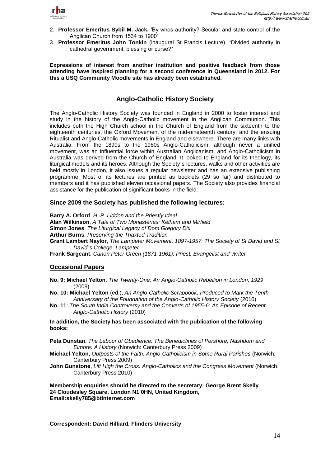

- 2. **Professor Emeritus Sybil M. Jack,** ‗By whos authority? Secular and state control of the Anglican Church from 1534 to 1900"
- 3. **Professor Emeritus John Tonkin** (inaugural St Francis Lecture), 'Divided authority in cathedral government: blessing or curse?'

**Expressions of interest from another institution and positive feedback from those attending have inspired planning for a second conference in Queensland in 2012. For this a USQ Community Moodle site has already been established.** 

# **Anglo-Catholic History Society**

The Anglo-Catholic History Society was founded in England in 2000 to foster interest and study in the history of the Anglo-Catholic movement in the Anglican Communion. This includes both the High Church school in the Church of England from the sixteenth to the eighteenth centuries, the Oxford Movement of the mid-nineteenth century, and the ensuing Ritualist and Anglo-Catholic movements in England and elsewhere. There are many links with Australia. From the 1890s to the 1980s Anglo-Catholicism, although never a unified movement, was an influential force within Australian Anglicanism, and Anglo-Catholicism in Australia was derived from the Church of England. It looked to England for its theology, its liturgical models and its heroes. Although the Society's lectures, walks and other activities are held mostly in London, it also issues a regular newsletter and has an extensive publishing programme. Most of its lectures are printed as booklets (29 so far) and distributed to members and it has published eleven occasional papers. The Society also provides financial assistance for the publication of significant books in the field.

## **Since 2009 the Society has published the following lectures:**

**Barry A. Orford**, *H. P. Liddon and the Priestly Ideal* **Alan Wilkinson**, *A Tale of Two Monasteries: Kelham and Mirfield* **Simon Jones**, *The Liturgical Legacy of Dom Gregory Dix* **Arthur Burns**, *Preserving the Thaxted Tradition* **Grant Lambert Naylor**, *The Lampeter Movement, 1897-1957: The Society of St David and St David*'*s College, Lampeter* **Frank Sargeant**, *Canon Peter Green (1871-1961): Priest, Evangelist and Writer*

## **Occasional Papers**

- **No. 9: Michael Yelton**, *The Twenty-One: An Anglo-Catholic Rebellion in London, 1929*  (2009)
- **No. 10: Michael Yelton** (ed.), *An Anglo-Catholic Scrapbook, Produced to Mark the Tenth Anniversary of the Foundation of the Anglo-Catholic History Society* (2010)
- **No. 11**: *The South India Controversy and the Converts of 1955-6: An Episode of Recent Anglo-Catholic History* (2010)

#### **In addition, the Society has been associated with the publication of the following books:**

**Peta Dunstan**, *The Labour of Obedience: The Benedictines of Pershore, Nashdom and Elmore: A History* (Norwich: Canterbury Press 2009)

- **Michael Yelton**, *Outposts of the Faith: Anglo-Catholicism in Some Rural Parishes* (Norwich: Canterbury Press 2009)
- **John Gunstone**, *Lift High the Cross: Anglo-Catholics and the Congress Movement* (Norwich: Canterbury Press 2010)

**Membership enquiries should be directed to the secretary: George Brent Skelly 24 Cloudesley Square, London N1 0HN, United Kingdom, Email:skelly785@btinternet.com**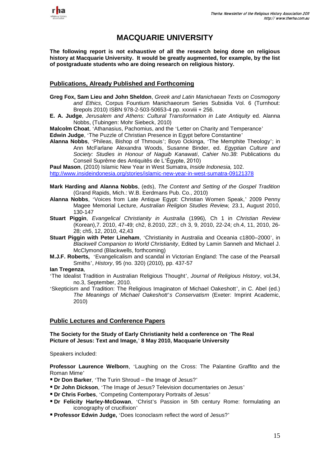

# **MACQUARIE UNIVERSITY**

**The following report is not exhaustive of all the research being done on religious history at Macquarie University. It would be greatly augmented, for example, by the list of postgraduate students who are doing research on religious history.**

## **Publications, Already Published and Forthcoming**

- **Greg Fox, Sam Lieu and John Sheldon**, *Greek and Latin Manichaean Texts on Cosmogony and Ethics,* Corpus Fountium Manichaeorum Series Subsidia Vol. 6 (Turnhout: Brepols 2010) ISBN 978-2-503-50653-4 pp. xxxviii + 256.
- **E. A. Judge**, *Jerusalem and Athens: Cultural Transformation in Late Antiquity* ed. Alanna Nobbs, (Tubingen: Mohr Siebeck, 2010)

**Malcolm Choat**, 'Athanasius, Pachomius, and the 'Letter on Charity and Temperance'

**Edwin Judge**, 'The Puzzle of Christian Presence in Egypt before Constantine'

**Alanna Nobbs**, 'Phileas, Bishop of Thmouis'; Boyo Ockinga, 'The Memphite Theology'; in Ann McFarlane Alexandra Woods, Susanne Binder, ed. *Egyptian Culture and Society: Studies in Honour of Naguib Kanawati*, *Cahier No.38*: Publications du Conseil Suprême des Antiquitês de L'Ėgypte, 2010)

**Paul Mason**, (2010) [Islamic New Year in West Sumatra,](http://www.insideindonesia.org/stories/islamic-new-year-in-west-sumatra-09121378) *Inside Indonesia,* 102. <http://www.insideindonesia.org/stories/islamic-new-year-in-west-sumatra-09121378>

- **Mark Harding and Alanna Nobbs**, (eds), *The Content and Setting of the Gospel Tradition* (Grand Rapids, Mich.: W.B. Eerdmans Pub. Co., 2010)
- **Alanna Nobbs**, 'Voices from Late Antique Egypt: Christian Women Speak,' 2009 Penny Magee Memorial Lecture, *Australian Religion Studies Review,* 23.1, August 2010, 130-147
- **Stuart Piggin**, *Evangelical Christianity in Australia* (1996)*,* Ch 1 in *Christian Review* (Korean),7. 2010, 47-49; ch2, 8.2010, 22f.; ch 3, 9, 2010, 22-24; ch.4, 11, 2010, 26- 28; ch5, 12, 2010, 42,43
- **Stuart Piggin with Peter Lineham**, 'Christianity in Australia and Oceania c1800–2000', in *Blackwell Companion to World Christianity*, Edited by Lamin Sanneh and Michael J. McClymond (Blackwells, forthcoming)
- **M.J.F. Roberts,** 'Evangelicalism and scandal in Victorian England: The case of the Pearsall Smiths', *History*, 95 (no. 320) (2010), pp. 437-57
- **Ian Tregenza**,
- 'The Idealist Tradition in Australian Religious Thought', *Journal of Religious History*, vol.34, no.3, September, 2010.
- 'Skepticism and Tradition: The Religious Imaginaton of Michael Oakeshott', in C. Abel (ed.) *The Meanings of Michael Oakeshott*'*s Conservatism* (Exeter: Imprint Academic, 2010)

## **Public Lectures and Conference Papers**

#### **The Society for the Study of Early Christianity held a conference on** '**The Real Picture of Jesus: Text and Image,**' **8 May 2010, Macquarie University**

Speakers included:

**Professor Laurence Welborn**, 'Laughing on the Cross: The Palantine Graffito and the Roman Mime'

- **Dr Don Barker**, 'The Turin Shroud the Image of Jesus?'
- **Dr John Dickson**, 'The Image of Jesus? Television documentaries on Jesus'
- **Dr Chris Forbes**, 'Competing Contemporary Portraits of Jesus'
- **Dr Felicity Harley-McGowan**, 'Christ's Passion in 5th century Rome: formulating an iconography of crucifixion'
- **Professor Edwin Judge,** 'Does Iconoclasm reflect the word of Jesus?'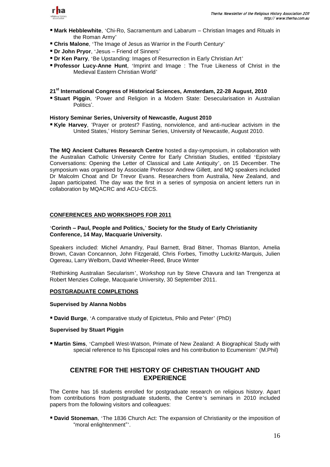

- **Mark Hebblewhite**, 'Chi-Ro, Sacramentum and Labarum Christian Images and Rituals in the Roman Army'
- **Chris Malone**, 'The Image of Jesus as Warrior in the Fourth Century'
- **Dr John Pryor**, 'Jesus Friend of Sinners'
- **Dr Ken Parry**, 'Be Upstanding: Images of Resurrection in Early Christian Art'
- **Professor Lucy-Anne Hunt**, 'Imprint and Image : The True Likeness of Christ in the Medieval Eastern Christian World'

#### **21st International Congress of Historical Sciences, Amsterdam, 22-28 August, 2010**

 **Stuart Piggin**, 'Power and Religion in a Modern State: Desecularisation in Australian Politics'.

#### **History Seminar Series, University of Newcastle, August 2010**

**Kyle Harvey**, 'Prayer or protest? Fasting, nonviolence, and anti-nuclear activism in the United States,' History Seminar Series, University of Newcastle, August 2010.

**The MQ Ancient Cultures Research Centre** hosted a day-symposium, in collaboration with the Australian Catholic University Centre for Early Christian Studies, entitled 'Epistolary Conversations: Opening the Letter of Classical and Late Antiquity', on 15 December. The symposium was organised by Associate Professor Andrew Gillett, and MQ speakers included Dr Malcolm Choat and Dr Trevor Evans. Researchers from Australia, New Zealand, and Japan participated. The day was the first in a series of symposia on ancient letters run in collaboration by MQACRC and ACU-CECS.

#### **CONFERENCES AND WORKSHOPS FOR 2011**

#### '**Corinth – Paul, People and Politics,**' **Society for the Study of Early Christianity Conference, 14 May, Macquarie University.**

Speakers included: Michel Amandry, Paul Barnett, Brad Bitner, Thomas Blanton, Amelia Brown, Cavan Concannon, John Fitzgerald, Chris Forbes, Timothy Luckritz-Marquis, Julien Ogereau, Larry Welborn, David Wheeler-Reed, Bruce Winter

'Rethinking Australian Secularism', Workshop run by Steve Chavura and Ian Trengenza at Robert Menzies College, Macquarie University, 30 September 2011.

#### **POSTGRADUATE COMPLETIONS**

#### **Supervised by Alanna Nobbs**

**David Burge**, 'A comparative study of Epictetus, Philo and Peter' (PhD)

#### **Supervised by Stuart Piggin**

 **Martin Sims**, 'Campbell West-Watson, Primate of New Zealand: A Biographical Study with special reference to his Episcopal roles and his contribution to Ecumenism' (M.Phil)

# **CENTRE FOR THE HISTORY OF CHRISTIAN THOUGHT AND EXPERIENCE**

The Centre has 16 students enrolled for postgraduate research on religious history. Apart from contributions from postgraduate students, the Centre's seminars in 2010 included papers from the following visitors and colleagues:

 **David Stoneman**, 'The 1836 Church Act: The expansion of Christianity or the imposition of "moral enlightenment"'.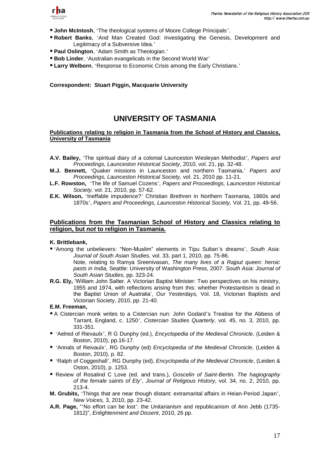

- **John McIntosh**, 'The theological systems of Moore College Principals'.
- **Robert Banks**, 'And Man Created God: Investigating the Genesis, Development and Legitimacy of a Subversive Idea.'
- **Paul Oslington**, 'Adam Smith as Theologian.'
- **Bob Linder**, 'Australian evangelicals in the Second World War'
- **Larry Welborn**, 'Response to Economic Crisis among the Early Christians.'

**Correspondent: Stuart Piggin, Macquarie University**

# **UNIVERSITY OF TASMANIA**

#### **Publications relating to religion in Tasmania from the School of History and Classics, University of Tasmania**

- **A.V. Bailey,** 'The spiritual diary of a colonial Launceston Wesleyan Methodist', *Papers and Proceedings, Launceston Historical Society*, 2010, vol. 21, pp. 32-48.
- **M.J. Bennett,** 'Quaker missions in Launceston and northern Tasmania,' *Papers and Proceedings, Launceston Historical Society,* vol. 21, 2010 pp. 11-21.
- **L.F. Rowston,** 'The life of Samuel Cozens', *Papers and Proceedings, Launceston Historical Society,* vol. 21, 2010, pp. 57-62.
- **E.K. Wilson,** 'Ineffable impudence?' Christian Brethren in Northern Tasmania, 1860s and 1870s', *Papers and Proceedings, Launceston Historical Society,* Vol. 21, pp. 49-56.

## **Publications from the Tasmanian School of History and Classics relating to religion, but** *not* **to religion in Tasmania.**

#### **K. Brittlebank,**

- 'Among the unbelievers: ―Non-Muslim‖ elements in Tipu Sultan's dreams', *South Asia: Journal of South Asian Studies,* vol. 33, part 1, 2010, pp. 75-86. Note, relating to Ramya Sreenivasan, *The many lives of a Rajput queen: heroic pasts in India,* Seattle: University of Washington Press, 2007. *South Asia: Journal of*
- *South Asian Studies,* pp. 323-24. **R.G. Ely,** ‗William John Salter. A Victorian Baptist Minister: Two perspectives on his ministry, 1955 and 1974, with reflections arising from this: whether Protestantism is dead in the Baptist Union of Australia', *Our Yesterdays,* Vol. 18, Victorian Baptists and Victorian Society, 2010, pp. 21-40.

#### **E.M. Freeman,**

- A Cistercian monk writes to a Cistercian nun: John Godard's Treatise for the Abbess of Tarrant, England, c. 1250', *Cistercian Studies Quarterly,* vol. 45, no. 3, 2010, pp. 331-351.
- 'Aelred of Rievaulx', R G Dunphy (ed.), *Encyclopedia of the Medieval Chronicle*, (Leiden & Boston, 2010), pp.16-17.
- 'Annals of Reivaulx', RG Dunphy (ed) *Encyclopedia of the Medieval Chronicle*, (Leiden & Boston, 2010), p. 82.
- 'Ralph of Coggeshall', RG Dunphy (ed), *Encyclopedia of the Medieval Chronicle*, (Leiden & Oston, 2010), p. 1253.
- Review of Rosalind C Love (ed. and trans.), *Goscelin of Saint-Bertin. The hagiography of the female saints of Ely*', *Journal of Religious History,* vol. 34, no. 2, 2010, pp. 213-4.
- **M. Grubits,** 'Things that are near though distant: extramarital affairs in Heian-Period Japan', *New Voices,* 3, 2010, pp. 23-42.
- **A.R. Page.** "No effort can be lost": the Unitarianism and republicanism of Ann Jebb (1735-1812)‖, *Enlightenment and Dissent*, 2010, 26 pp.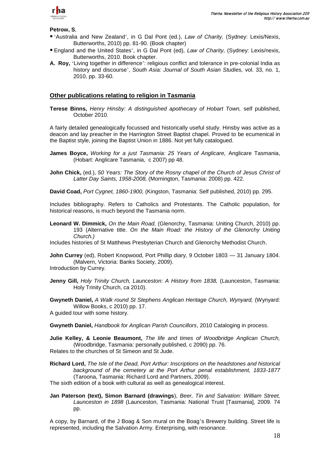

#### **Petrow, S**,

- 'Australia and New Zealand', in G Dal Pont (ed.), *Law of Charity,* (Sydney: Lexis/Nexis, Butterworths, 2010) pp. 81-90. (Book chapter)
- England and the United States', in G Dal Pont (ed), *Law of Charity,* (Sydney: Lexis/nexis, Butterworths, 2010. Book chapter.
- **A. Roy,** 'Living together in difference': religious conflict and tolerance in pre-colonial India as history and discourse', *South Asia: Journal of South Asian Studies,* vol. 33, no. 1, 2010, pp. 33-60.

### **Other publications relating to religion in Tasmania**

**Terese Binns,** *Henry Hinsby: A distinguished apothecary of Hobart Town,* self published, October 2010.

A fairly detailed genealogically focussed and historically useful study. Hinsby was active as a deacon and lay preacher in the Harrington Street Baptist chapel. Proved to be ecumenical in the Baptist style, joining the Baptist Union in 1886. Not yet fully catalogued.

- **James Boyce,** *Working for a just Tasmania: 25 Years of Anglicare,* Anglicare Tasmania, (Hobart: Anglicare Tasmania, c 2007) pp 48.
- **John Chick,** (ed.), *50 Years: The Story of the Rosny chapel of the Church of Jesus Christ of Latter Day Saints, 1958-2008,* (Mornington, Tasmania: 2008) pp. 422.
- **David Coad,** *Port Cygnet, 1860-1900,* (Kingston, Tasmania: Self published, 2010) pp. 295.

Includes bibliography. Refers to Catholics and Protestants. The Catholic population, for historical reasons, is much beyond the Tasmania norm.

**Leonard W. Dimmick,** *On the Main Road,* (Glenorchy, Tasmania: Uniting Church, 2010) pp. 193 (Alternative title. *On the Main Road: the History of the Glenorchy Uniting Church.)*

Includes histories of St Matthews Presbyterian Church and Glenorchy Methodist Church.

**John Currey** (ed), Robert Knopwood, Port Phillip diary, 9 October 1803 — 31 January 1804. (Malvern, Victoria: Banks Society, 2009).

Introduction by Currey.

**Jenny Gill,** *Holy Trinity Church, Launceston: A History from 1838,* (Launceston, Tasmania: Holy Trinity Church, ca 2010).

**Gwyneth Daniel,** *A Walk round St Stephens Anglican Heritage Church, Wynyard,* (Wynyard: Willow Books, c 2010) pp. 17.

A guided tour with some history.

**Gwyneth Daniel,** *Handbook for Anglican Parish Councillors*, 2010 Cataloging in process.

**Julie Kelley, & Leonie Beaumont,** *The life and times of Woodbridge Anglican Church,*  (Woodbridge, Tasmania: personally published, c 2090) pp. 76.

Relates to the churches of St Simeon and St Jude.

**Richard Lord,** *The Isle of the Dead, Port Arthur: Inscriptions on the headstones and historical background of the cemetery at the Port Arthur penal establishment, 1833-1877* (Taroona, Tasmania: Richard Lord and Partners, 2009).

The sixth edition of a book with cultural as well as genealogical interest.

**Jan Paterson (text), Simon Barnard (drawings**), *Beer, Tin and Salvation: William Street, Launceston in 1898* (Launceston, Tasmania: National Trust [Tasmania], 2009. 74 pp.

A copy, by Barnard, of the J Boag & Son mural on the Boag's Brewery building. Street life is represented, including the Salvation Army. Enterprising, with resonance.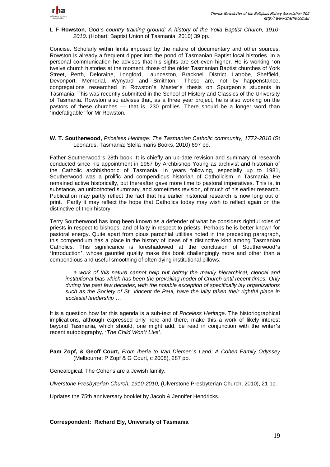

#### **L F Rowston**, *God*'*s country training ground: A history of the Yolla Baptist Church, 1910- 2010*. (Hobart: Baptist Union of Tasmania, 2010) 39 pp.

Concise. Scholarly within limits imposed by the nature of documentary and other sources. Rowston is already a frequent dipper into the pond of Tasmanian Baptist local histories. In a personal communication he advises that his sights are set even higher. He is working 'on twelve church histories at the moment, those of the older Tasmanian Baptist churches of York Street, Perth, Deloraine, Longford, Launceston, Bracknell District, Latrobe, Sheffield, Devonport, Memorial, Wynyard and Smithton.' These are, not by happenstance, congregations researched in Rowston's Master's thesis on Spurgeon's students in Tasmania. This was recently submitted in the School of History and Classics of the University of Tasmania. Rowston also advises that, as a three year project, he is also working on the pastors of these churches — that is, 230 profiles. There should be a longer word than 'indefatigable' for Mr Rowston.

#### **W. T. Southerwood,** *Priceless Heritage: The Tasmanian Catholic community, 1772-2010* (St Leonards, Tasmania: Stella maris Books, 2010) 697 pp.

Father Southerwood's 28th book. It is chiefly an up-date revision and summary of research conducted since his appointment in 1967 by Archbishop Young as archivist and historian of the Catholic archbishopric of Tasmania. In years following, especially up to 1981, Southerwood was a prolific and compendious historian of Catholicism in Tasmania. He remained active historically, but thereafter gave more time to pastoral imperatives. This is, in substance, an unfootnoted summary, and sometimes revision, of much of his earlier research. Publication may partly reflect the fact that his earlier historical research is now long out of print. Partly it may reflect the hope that Catholics today may wish to reflect again on the distinctive of their history.

Terry Southerwood has long been known as a defender of what he considers rightful roles of priests in respect to bishops, and of laity in respect to priests. Perhaps he is better known for pastoral energy. Quite apart from pious parochial utilities noted in the preceding paragraph, this compendium has a place in the history of ideas of a distinctive kind among Tasmanian Catholics. This significance is foreshadowed at the conclusion of Southerwood's 'Introduction', whose gauntlet quality make this book challengingly more and other than a compendious and useful smoothing of often dying institutional pillows:

*… a work of this nature cannot help but betray the mainly hierarchical, clerical and institutional bias which has been the prevailing model of Church until recent times. Only during the past few decades, with the notable exception of specifically lay organizations such as the Society of St. Vincent de Paul, have the laity taken their rightful place in ecclesial leadership …* 

It is a question how far this agenda is a sub-text of *Priceless Heritage*. The historiographical implications, although expressed only here and there, make this a work of likely interest beyond Tasmania, which should, one might add, be read in conjunction with the writer's recent autobiography*,* '*The Child Won*'*t Live*'*.*

**Pam Zopf, & Geoff Court,** *From Iberia to Van Diemen*'*s Land: A Cohen Family Odyssey*  (Melbourne: P Zopf & G Court, c 2008), 287 pp.

Genealogical. The Cohens are a Jewish family.

*Ulverstone Presbyterian Church, 1910-2010,* (Ulverstone Presbyterian Church, 2010), 21 pp.

Updates the 75th anniversary booklet by Jacob & Jennifer Hendricks.

**Correspondent: Richard Ely, University of Tasmania**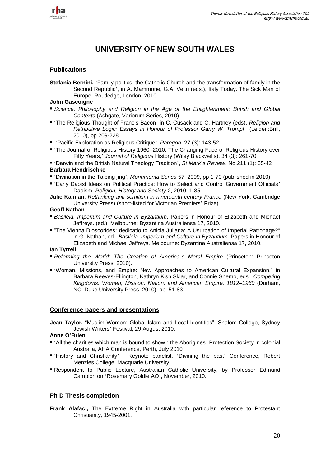

# **UNIVERSITY OF NEW SOUTH WALES**

## **Publications**

**Stefania Bernini,** 'Family politics, the Catholic Church and the transformation of family in the Second Republic', in A. Mammone, G.A. Veltri (eds.), Italy Today. The Sick Man of Europe, Routledge, London, 2010.

### **John Gascoigne**

- *Science, Philosophy and Religion in the Age of the Enlightenment: British and Global Contexts* (Ashgate, Variorum Series, 2010)
- 'The Religious Thought of Francis Bacon' in C. Cusack and C. Hartney (eds), *Religion and Retributive Logic: Essays in Honour of Professor Garry W. Trompf* (Leiden:Brill, 2010), pp.209-228
- 'Pacific Exploration as Religious Critique', *Paregon*, 27 (3): 143-52
- 'The Journal of Religious History 1960–2010: The Changing Face of Religious History over Fifty Years,' *Journal of Religious* History (Wiley Blackwells), 34 (3): 261-70
- 'Darwin and the British Natural Theology Tradition', *St Mark*'*s Review*, No.211 (1): 35-42 **Barbara Hendrischke**
- 'Divination in the Taiping jing', *Monumenta Serica* 57, 2009, pp 1-70 (published in 2010)
- 'Early Daoist Ideas on Political Practice: How to Select and Control Government Officials' Daoism. *Religion, History and Society* 2, 2010: 1-35.
- **Julie Kalman,** *Rethinking anti-semitism in nineteenth century France* (New York, Cambridge University Press) (short-listed for Victorian Premiers' Prize)

#### **Geoff Nathan**

- *Basileia. Imperium and Culture in Byzantium*. Papers in Honour of Elizabeth and Michael Jeffreys. (ed.), Melbourne: Byzantina Australiensa 17, 2010.
- ―The Vienna Dioscorides' dedicatio to Anicia Juliana: A Usurpation of Imperial Patronage?" in G. Nathan, ed., *Basileia. Imperium and Culture in Byzantium*. Papers in Honour of Elizabeth and Michael Jeffreys. Melbourne: Byzantina Australiensa 17, 2010.

# **Ian Tyrrell**

- *Reforming the World: The Creation of America*'*s Moral Empire* (Princeton: Princeton University Press, 2010).
- 'Woman, Missions, and Empire: New Approaches to American Cultural Expansion,' in Barbara Reeves-Ellington, Kathryn Kish Sklar, and Connie Shemo, eds., *Competing Kingdoms: Women, Mission, Nation, and American Empire, 1812–1960* (Durham, NC: Duke University Press, 2010), pp. 51-83

## **Conference papers and presentations**

**Jean Taylor,** "Muslim Women: Global Islam and Local Identities", Shalom College, Sydney Jewish Writers' Festival, 29 August 2010.

## **Anne O**'**Brien**

- 'All the charities which man is bound to show': the Aborigines' Protection Society in colonial Australia, AHA Conference, Perth, July 2010
- 'History and Christianity' Keynote panelist, 'Divining the past' Conference, Robert Menzies College, Macquarie University.
- Respondent to Public Lecture, Australian Catholic University, by Professor Edmund Campion on 'Rosemary Goldie AO', November, 2010.

## **Ph D Thesis completion**

**Frank Alafaci,** The Extreme Right in Australia with particular reference to Protestant Christianity, 1945-2001.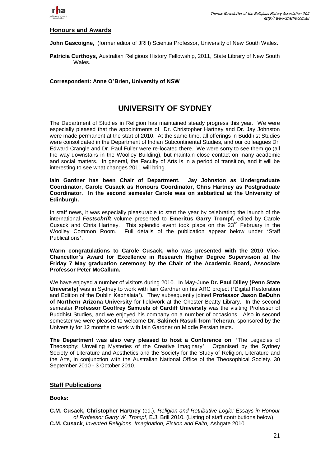

### **Honours and Awards**

**John Gascoigne,** (former editor of JRH) Scientia Professor, University of New South Wales.

**Patricia Curthoys,** Australian Religious History Fellowship, 2011, State Library of New South Wales.

### **Correspondent: Anne O**'**Brien, University of NSW**

# **UNIVERSITY OF SYDNEY**

The Department of Studies in Religion has maintained steady progress this year. We were especially pleased that the appointments of Dr. Christopher Hartney and Dr. Jay Johnston were made permanent at the start of 2010. At the same time, all offerings in Buddhist Studies were consolidated in the Department of Indian Subcontinental Studies, and our colleagues Dr. Edward Crangle and Dr. Paul Fuller were re-located there. We were sorry to see them go (all the way downstairs in the Woolley Building), but maintain close contact on many academic and social matters. In general, the Faculty of Arts is in a period of transition, and it will be interesting to see what changes 2011 will bring.

**Iain Gardner has been Chair of Department. Jay Johnston as Undergraduate Coordinator, Carole Cusack as Honours Coordinator, Chris Hartney as Postgraduate Coordinator. In the second semester Carole was on sabbatical at the University of Edinburgh.** 

In staff news, it was especially pleasurable to start the year by celebrating the launch of the international *Festschrift* volume presented to **Emeritus Garry Trompf,** edited by Carole Cusack and Chris Hartney. This splendid event took place on the 23<sup>rd</sup> February in the Woolley Common Room. Full details of the publication appear below under 'Staff Publications'.

**Warm congratulations to Carole Cusack, who was presented with the 2010 Vice-Chancellor**'**s Award for Excellence in Research Higher Degree Supervision at the Friday 7 May graduation ceremony by the Chair of the Academic Board, Associate Professor Peter McCallum.**

We have enjoyed a number of visitors during 2010. In May-June **Dr. Paul Dilley (Penn State University)** was in Sydney to work with Iain Gardner on his ARC project ('Digital Restoration and Edition of the Dublin Kephalaia'). They subsequently joined **Professor Jason BeDuhn of Northern Arizona University** for fieldwork at the Chester Beatty Library. In the second semester **Professor Geoffrey Samuels of Cardiff University** was the visiting Professor of Buddhist Studies, and we enjoyed his company on a number of occasions. Also in second semester we were pleased to welcome **Dr. Sakineh Rasuli from Teheran**, sponsored by the University for 12 months to work with Iain Gardner on Middle Persian texts.

**The Department was also very pleased to host a Conference on**: 'The Legacies of Theosophy: Unveiling Mysteries of the Creative Imaginary'. Organised by the Sydney Society of Literature and Aesthetics and the Society for the Study of Religion, Literature and the Arts, in conjunction with the Australian National Office of the Theosophical Society. 30 September 2010 - 3 October 2010.

## **Staff Publications**

## **Books:**

**C.M. Cusack, Christopher Hartney** (ed.), *Religion and Retributive Logic: Essays in Honour of Professor Garry W. Trompf*, E.J. Brill 2010. (Listing of staff contributions below). **C.M. Cusack**, *Invented Religions. Imagination, Fiction and Faith,* Ashgate 2010.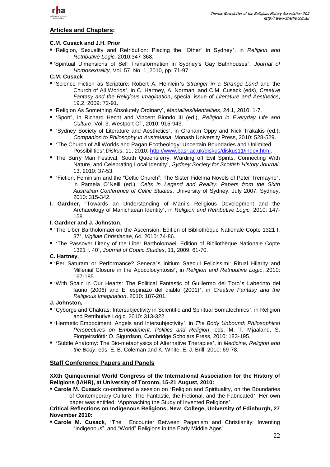

## **Articles and Chapters:**

## **C.M. Cusack and J.H. Prior**

- 'Religion, Sexuality and Retribution: Placing the "Other" in Sydney', in *Religion and Retributive Logic,* 2010:347-368.
- ‗Spiritual Dimensions of Self Transformation in Sydney's Gay Bathhouses‖, *Journal of Homosexuality,* Vol. 57, No. 1, 2010, pp. 71-97.

## **C.M. Cusack**

- 'Science Fiction as Scripture: Robert A. Heinlein's *Stranger in a Strange Land* and the Church of All Worlds', in C. Hartney, A. Norman, and C.M. Cusack (eds), *Creative Fantasy and the Religious Imagination*, special issue of *Literature and Aesthetics*, 19.2, 2009: 72-91.
- 'Religion As Something Absolutely Ordinary', *Mentalites/Mentalities*, 24.1, 2010: 1-7.
- 'Sport', in Richard Hecht and Vincent Biondo III (ed.), *Religion in Everyday Life and Culture*, Vol. 3, Westport CT, 2010: 915-943.
- 'Sydney Society of Literature and Aesthetics', in Graham Oppy and Nick Trakakis (ed.), *Companion to Philosophy in Australasia*, Monash University Press, 2010: 528-529.
- 'The Church of All Worlds and Pagan Ecotheology: Uncertain Boundaries and Unlimited Possibilities',*Diskus*, 11, 2010: [http://www.basr.ac.uk/diskus/diskus11/index.html.](http://www.basr.ac.uk/diskus/diskus11/index.html)
- 'The Burry Man Festival, South Queensferry: Warding off Evil Spirits, Connecting With Nature, and Celebrating Local Identity', *Sydney Society for Scottish History Journal,* 13, 2010: 37-53.
- 'Fiction, Feminism and the "Celtic Church": The Sister Fidelma Novels of Peter Tremayne', in Pamela O'Neill (ed.), *Celts in Legend and Reality: Papers from the Sixth Australian Conference of Celtic Studies*, University of Sydney, July 2007. Sydney, 2010: 315-342.
- **I. Gardner,** 'Towards an Understanding of Mani's Religious Development and the Archaeology of Manichaean Identity', in *Religion and Retributive Logic,* 2010: 147- 158.

#### **I. Gardner and J. Johnston**,

- 'The Liber Bartholomaei on the Ascension: Edition of Bibliothèque Nationale Copte 1321 f. 37', *Vigiliae Christianae*, 64, 2010: 74-86.
- 'The Passover Litany of the Liber Bartholomaei: Edition of Bibliothèque Nationale Copte 1321 f. 40', *Journal of Coptic Studies*, 11, 2009: 61-70.

#### **C. Hartney**,

- 'Per Saturam or Performance? Seneca's Initium Saeculi Felicissimi: Ritual Hilarity and Millenial Closure in the Apocolocyntosis', in *Religion and Retributive Logic*, 2010: 167-185.
- 'With Spain in Our Hearts: The Political Fantastic of Guillermo del Toro's Laberinto del fauno (2006) and El espinazo del diablo (2001)', in *Creative Fantasy and the Religious Imagination*, 2010: 187-201.

#### **J. Johnston,**

- 'Cyborgs and Chakras: Intersubjectivity in Scientific and Spiritual Somatechnics', in Religion and Retributive Logic, 2010: 313-322.
- 'Hermetic Embodiment: Angels and Intersubjectivity', in *The Body Unbound: Philosophical Perspectives on Embodiment, Politics and Religion*, eds. M. T. Mjaaland, S. Fiorgeirsdóttir O. Sigurdson, Cambridge Scholars Press, 2010: 183-195.
- 'Subtle Anatomy: The Bio-metaphysics of Alternative Therapies', in *Medicine, Religion and the Body*, eds. E. B. Coleman and K. White, E. J. Brill, 2010: 69-78.

## **Staff Conference Papers and Panels**

### **XXth Quinquennial World Congress of the International Association for the History of Religions (IAHR), at University of Toronto, 15-21 August, 2010:**

 **Carole M. Cusack** co-ordinated a session on 'Religion and Spirituality, on the Boundaries of Contemporary Culture: The Fantastic, the Fictional, and the Fabricated'. Her own paper was entitled: 'Approaching the Study of Invented Religions'.

## **Critical Reflections on Indigenous Religions, New College, University of Edinburgh, 27 November 2010:**

 **Carole M. Cusack**, 'The Encounter Between Paganism and Christianity: Inventing "Indigenous" and "World" Religions in the Early Middle Ages'..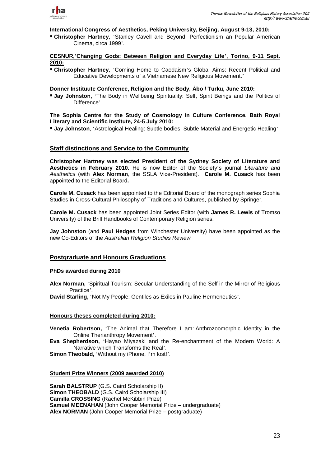

**International Congress of Aesthetics, Peking University, Beijing, August 9-13, 2010:** 

 **Christopher Hartney**, 'Stanley Cavell and Beyond: Perfectionism an Popular American Cinema, circa 1999'.

### **CESNUR,**'**Changing Gods: Between Religion and Everyday Life**'**, Torino, 9-11 Sept. 2010:**

 **Christopher Hartney**, 'Coming Home to Caodaism's Global Aims: Recent Political and Educative Developments of a Vietnamese New Religious Movement.'

**Donner Instituute Conference, Religion and the Body, Åbo / Turku, June 2010:**

**Jay Johnston,** 'The Body in Wellbeing Spirituality: Self. Spirit Beings and the Politics of Difference'.

**The Sophia Centre for the Study of Cosmology in Culture Conference, Bath Royal Literary and Scientific Institute, 24-5 July 2010:**

**Jay Johnston**, 'Astrological Healing: Subtle bodies, Subtle Material and Energetic Healing'.

## **Staff distinctions and Service to the Community**

**Christopher Hartney was elected President of the Sydney Society of Literature and Aesthetics in February 2010.** He is now Editor of the Society's journal *Literature and Aesthetics* (with **Alex Norman**, the SSLA Vice-President). **Carole M. Cusack** has been appointed to the Editorial Board**.**

**Carole M. Cusack** has been appointed to the Editorial Board of the monograph series Sophia Studies in Cross-Cultural Philosophy of Traditions and Cultures, published by Springer.

**Carole M. Cusack** has been appointed Joint Series Editor (with **James R. Lewis** of Tromso University) of the Brill Handbooks of Contemporary Religion series.

**Jay Johnston** (and **Paul Hedges** from Winchester University) have been appointed as the new Co-Editors of the *Australian Religion Studies Review.*

## **Postgraduate and Honours Graduations**

#### **PhDs awarded during 2010**

**Alex Norman,** 'Spiritual Tourism: Secular Understanding of the Self in the Mirror of Religious Practice'.

**David Starling,** 'Not My People: Gentiles as Exiles in Pauline Hermeneutics'.

#### **Honours theses completed during 2010:**

**Venetia Robertson,** 'The Animal that Therefore I am: Anthrozoomorphic Identity in the Online Therianthropy Movement'.

**Eva Shepherdson,** 'Hayao Miyazaki and the Re-enchantment of the Modern World: A Narrative which Transforms the Real'.

**Simon Theobald,** 'Without my iPhone, I'm lost!'.

#### **Student Prize Winners (2009 awarded 2010)**

**Sarah BALSTRUP** (G.S. Caird Scholarship II) **Simon THEOBALD** (G.S. Caird Scholarship III) **Camilla CROSSING** (Rachel McKibbin Prize) **Samuel MEENAHAN** (John Cooper Memorial Prize – undergraduate) **Alex NORMAN** (John Cooper Memorial Prize – postgraduate)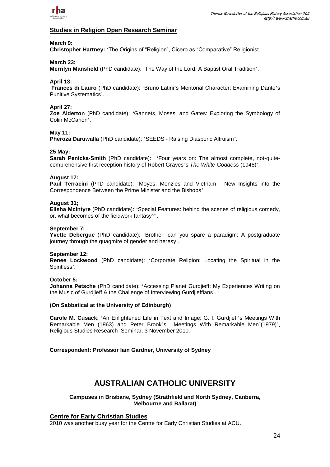

## **Studies in Religion Open Research Seminar**

#### **March 9:**

**Christopher Hartney:** 'The Origins of "Religion", Cicero as "Comparative" Religionist'.

## **March 23:**

**Merrilyn Mansfield** (PhD candidate): 'The Way of the Lord: A Baptist Oral Tradition'.

#### **April 13:**

**Frances di Lauro** (PhD candidate): 'Bruno Latini's Mentorial Character: Examining Dante's Punitive Systematics'.

#### **April 27:**

**Zoe Alderton** (PhD candidate): 'Gannets, Moses, and Gates: Exploring the Symbology of Colin McCahon'.

#### **May 11:**

**Pheroza Daruwalla** (PhD candidate): 'SEEDS - Raising Diasporic Altruism'.

#### **25 May:**

**Sarah Penicka-Smith** (PhD candidate): 'Four years on: The almost complete, not-quitecomprehensive first reception history of Robert Graves's *The White Goddess* (1948)'.

#### **August 17:**

**Paul Terracini** (PhD candidate): 'Moyes, Menzies and Vietnam - New Insights into the Correspondence Between the Prime Minister and the Bishops'.

#### **August 31;**

**Elisha McIntyre** (PhD candidate): 'Special Features: behind the scenes of religious comedy, or, what becomes of the fieldwork fantasy?'.

#### **September 7:**

**Yvette Debergue** (PhD candidate): 'Brother, can you spare a paradigm: A postgraduate journey through the quagmire of gender and heresy'.

#### **September 12:**

**Renee Lockwood** (PhD candidate): 'Corporate Religion: Locating the Spiritual in the Spiritless'.

#### **October 5:**

**Johanna Petsche** (PhD candidate): 'Accessing Planet Gurdjieff: My Experiences Writing on the Music of Gurdjieff & the Challenge of Interviewing Gurdjieffians'.

#### **(On Sabbatical at the University of Edinburgh)**

**Carole M. Cusack**, 'An Enlightened Life in Text and Image: G. I. Gurdjieff's Meetings With Remarkable Men (1963) and Peter Brook's Meetings With Remarkable Men'(1979)', Religious Studies Research Seminar, 3 November 2010.

#### **Correspondent: Professor Iain Gardner, University of Sydney**

# **AUSTRALIAN CATHOLIC UNIVERSITY**

#### **Campuses in Brisbane, Sydney (Strathfield and North Sydney, Canberra, Melbourne and Ballarat)**

## **Centre for Early Christian Studies**

2010 was another busy year for the Centre for Early Christian Studies at ACU.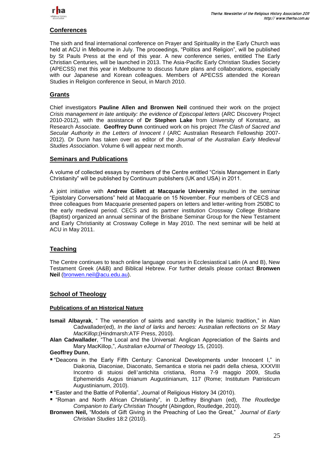

## **Conferences**

The sixth and final international conference on Prayer and Spirituality in the Early Church was held at ACU in Melbourne in July. The proceedings, "Politics and Religion", will be published by St Pauls Press at the end of this year. A new conference series, entitled The Early Christian Centuries, will be launched in 2013. The Asia-Pacific Early Christian Studies Society (APECSS) met this year in Melbourne to discuss future plans and collaborations, especially with our Japanese and Korean colleagues. Members of APECSS attended the Korean Studies in Religion conference in Seoul, in March 2010.

## **Grants**

Chief investigators **Pauline Allen and Bronwen Neil** continued their work on the project *Crisis management in late antiquity: the evidence of Episcopal letters* (ARC Discovery Project 2010-2012), with the assistance of **Dr Stephen Lake** from University of Konstanz, as Research Associate. **Geoffrey Dunn** continued work on his project *The Clash of Sacred and Secular Authority in the Letters of Innocent I* (ARC Australian Research Fellowship 2007- 2012). Dr Dunn has taken over as editor of the *Journal of the Australian Early Medieval Studies Association*. Volume 6 will appear next month.

## **Seminars and Publications**

A volume of collected essays by members of the Centre entitled "Crisis Management in Early Christianity" will be published by Continuum publishers (UK and USA) in 2011.

A joint initiative with **Andrew Gillett at Macquarie University** resulted in the seminar ―Epistolary Conversations‖ held at Macquarie on 15 November. Four members of CECS and three colleagues from Macquarie presented papers on letters and letter-writing from 250BC to the early medieval period. CECS and its partner institution Crossway College Brisbane (Baptist) organized an annual seminar of the Brisbane Seminar Group for the New Testament and Early Christianity at Crossway College in May 2010. The next seminar will be held at ACU in May 2011.

## **Teaching**

The Centre continues to teach online language courses in Ecclesiastical Latin (A and B), New Testament Greek (A&B) and Biblical Hebrew. For further details please contact **Bronwen Neil** [\(bronwen.neil@acu.edu.au\)](mailto:bronwen.neil@acu.edu.au).

## **School of Theology**

#### **Publications of an Historical Nature**

- **Ismail Albayrak**, "The veneration of saints and sanctity in the Islamic tradition," in Alan Cadwallader(ed), *In the land of larks and heroes: Australian reflections on St Mary MacKillop*;(Hindmarsh:ATF Press, 2010).
- Alan Cadwallader, "The Local and the Universal: Anglican Appreciation of the Saints and Mary MacKillop,", Australian eJournal of Theology 15, (2010).

## **Geoffrey Dunn**,

- "Deacons in the Early Fifth Century: Canonical Developments under Innocent I," in Diakonia, Diaconiae, Diaconato, Semantica e storia nei padri della chiesa, XXXVIII Incontro di stuiosi dell'antichita cristiana, Roma 7-9 maggio 2009, Studia Ephemeridis Augus tinianum Augustinianum, 117 (Rome; Institutum Patristicum Augustinianum, 2010).
- "Easter and the Battle of Pollentia", Journal of Religious History 34 (2010).
- "Roman and North African Christianity", in D.Jeffrey Bingham (ed), *The Routledge Companion to Early Christian Thought* (Abingdon, Routledge, 2010).
- **Bronwen Neil,** "Models of Gift Giving in the Preaching of Leo the Great," *Journal of Early Christian Studies* 18:2 (2010).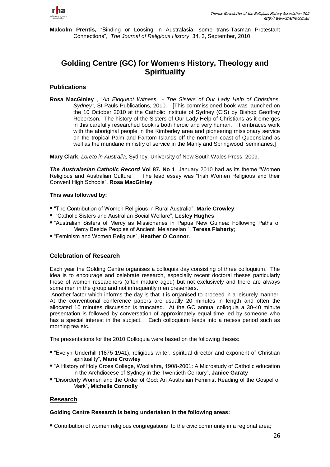

**Malcolm Prentis**, "Binding or Loosing in Australasia: some trans-Tasman Protestant Connections‖, *The Journal of Religious History*, 34, 3, September, 2010.

# **Golding Centre (GC) for Women**'**s History, Theology and Spirituality**

## **Publications**

**Rosa MacGinley** , "An Eloquent Witness - The Sisters of Our Lady Help of Christians, *Sydney",* St Pauls Publications, 2010. [This commissioned book was launched on the 10 October 2010 at the Catholic Institute of Sydney (CIS) by Bishop Geoffrey Robertson. The history of the Sisters of Our Lady Help of Christians as it emerges in this carefully researched book is both heroic and very human. It embraces work with the aboriginal people in the Kimberley area and pioneering missionary service on the tropical Palm and Fantom Islands off the northern coast of Queensland as well as the mundane ministry of service in the Manly and Springwood seminaries.]

**Mary Clark**, *Loreto in Australia,* Sydney, University of New South Wales Press, 2009.

**The Australasian Catholic Record Vol 87. No 1, January 2010 had as its theme "Women"** Religious and Australian Culture". The lead essay was "Irish Women Religious and their Convent High Schools‖, **Rosa MacGinley**.

## **This was followed by:**

- "The Contribution of Women Religious in Rural Australia", Marie Crowley;
- "Catholic Sisters and Australian Social Welfare", Lesley Hughes;
- "Australian Sisters of Mercy as Missionaries in Papua New Guinea: Following Paths of Mercy Beside Peoples of Ancient Melanesian ", Teresa Flaherty;
- ―Feminism and Women Religious‖, **Heather O**'**Connor**.

## **Celebration of Research**

Each year the Golding Centre organises a colloquia day consisting of three colloquium. The idea is to encourage and celebrate research, especially recent doctoral theses particularly those of women researchers (often mature aged) but not exclusively and there are always some men in the group and not infrequently men presenters.

Another factor which informs the day is that it is organised to proceed in a leisurely manner. At the conventional conference papers are usually 20 minutes in length and often the allocated 10 minutes discussion is truncated. At the GC annual colloquia a 30-40 minute presentation is followed by conversation of approximately equal time led by someone who has a special interest in the subject. Each colloquium leads into a recess period such as morning tea etc.

The presentations for the 2010 Colloquia were based on the following theses:

- ―Evelyn Underhill (1875-1941), religious writer, spiritual director and exponent of Christian spirituality", Marie Crowley
- "A History of Holy Cross College, Woollahra, 1908-2001: A Microstudy of Catholic education in the Archdiocese of Sydney in the Twentieth Century", Janice Garaty
- "Disorderly Women and the Order of God: An Australian Feminist Reading of the Gospel of Mark‖, **Michelle Connolly**

## **Research**

## **Golding Centre Research is being undertaken in the following areas:**

Contribution of women religious congregations to the civic community in a regional area;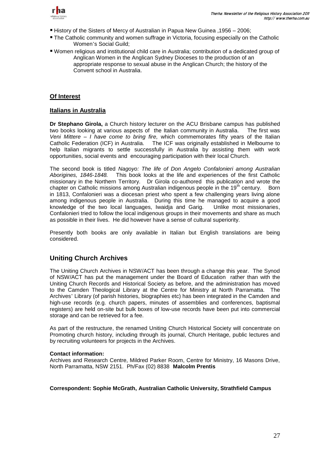

- History of the Sisters of Mercy of Australian in Papua New Guinea ,1956 2006;
- The Catholic community and women suffrage in Victoria, focusing especially on the Catholic Women's Social Guild;
- Women religious and institutional child care in Australia; contribution of a dedicated group of Anglican Women in the Anglican Sydney Dioceses to the production of an appropriate response to sexual abuse in the Anglican Church; the history of the Convent school in Australia.

## **Of Interest**

## **Italians in Australia**

**Dr Stephano Girola,** a Church history lecturer on the ACU Brisbane campus has published two books looking at various aspects of the Italian community in Australia. The first was *Veni Mittere – I have come to bring fire,* which commemorates fifty years of the Italian Catholic Federation (ICF) in Australia. The ICF was originally established in Melbourne to help Italian migrants to settle successfully in Australia by assisting them with work opportunities, social events and encouraging participation with their local Church.

The second book is titled *Nagoyo: The life of Don Angelo Confalonieri among Australian Aborigines, 1846-1848.* This book looks at the life and experiences of the first Catholic missionary in the Northern Territory. Dr Girola co-authored this publication and wrote the chapter on Catholic missions among Australian indigenous people in the 19<sup>th</sup> century. Born in 1813, Confalonieri was a diocesan priest who spent a few challenging years living alone among indigenous people in Australia. During this time he managed to acquire a good knowledge of the two local languages, Iwaidja and Garig. Unlike most missionaries, Confalonieri tried to follow the local indigenous groups in their movements and share as much as possible in their lives. He did however have a sense of cultural superiority.

Presently both books are only available in Italian but English translations are being considered.

## **Uniting Church Archives**

The Uniting Church Archives in NSW/ACT has been through a change this year. The Synod of NSW/ACT has put the management under the Board of Education rather than with the Uniting Church Records and Historical Society as before, and the administration has moved to the Camden Theological Library at the Centre for Ministry at North Parramatta. The Archives' Library (of parish histories, biographies etc) has been integrated in the Camden and high-use records (e.g. church papers, minutes of assemblies and conferences, baptismal registers) are held on-site but bulk boxes of low-use records have been put into commercial storage and can be retrieved for a fee.

As part of the restructure, the renamed Uniting Church Historical Society will concentrate on Promoting church history, including through its journal, Church Heritage, public lectures and by recruiting volunteers for projects in the Archives.

#### **Contact information:**

Archives and Research Centre, Mildred Parker Room, Centre for Ministry, 16 Masons Drive, North Parramatta, NSW 2151. Ph/Fax (02) 8838 **Malcolm Prentis**

#### **Correspondent: Sophie McGrath, Australian Catholic University, Strathfield Campus**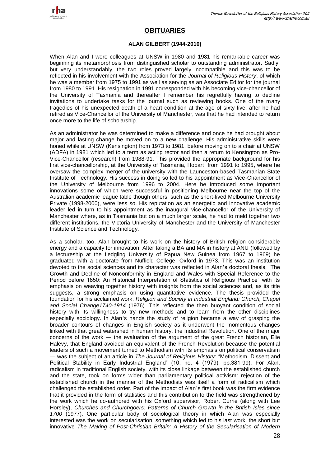

# **OBITUARIES**

### **ALAN GILBERT (1944-2010)**

When Alan and I were colleagues at UNSW in 1980 and 1981 his remarkable career was beginning its metamorphosis from distinguished scholar to outstanding administrator. Sadly, but very understandably, the two roles proved largely incompatible and this was to be reflected in his involvement with the Association for the *Journal of Religious History*, of which he was a member from 1975 to 1991 as well as serving as an Associate Editor for the journal from 1980 to 1991. His resignation in 1991 corresponded with his becoming vice-chancellor of the University of Tasmania and thereafter I remember his regretfully having to decline invitations to undertake tasks for the journal such as reviewing books. One of the many tragedies of his unexpected death of a heart condition at the age of sixty five, after he had retired as Vice-Chancellor of the University of Manchester, was that he had intended to return once more to the life of scholarship.

As an administrator he was determined to make a difference and once he had brought about major and lasting change he moved on to a new challenge. His administrative skills were honed while at UNSW (Kensington) from 1973 to 1981, before moving on to a chair at UNSW (ADFA) in 1981 which led to a term as acting rector and then a return to Kensington as Pro-Vice-Chancellor (research) from 1988-91. This provided the appropriate background for his first vice-chancellorship, at the University of Tasmania, Hobart from 1991 to 1995, where he oversaw the complex merger of the university with the Launceston-based Tasmanian State Institute of Technology. His success in doing so led to his appointment as Vice-Chancellor of the University of Melbourne from 1996 to 2004. Here he introduced some important innovations some of which were successful in positioning Melbourne near the top of the Australian academic league table though others, such as the short-lived Melbourne University Private (1998-2000), were less so. His reputation as an energetic and innovative academic leader led in turn to his appointment as the inaugural vice-chancellor of the University of Manchester where, as in Tasmania but on a much larger scale, he had to meld together two different institutions, the Victoria University of Manchester and the University of Manchester Institute of Science and Technology.

As a scholar, too, Alan brought to his work on the history of British religion considerable energy and a capacity for innovation. After taking a BA and MA in history at ANU (followed by a lectureship at the fledgling University of Papua New Guinea from 1967 to 1969) he graduated with a doctorate from Nuffield College, Oxford in 1973. This was an institution devoted to the social sciences and its character was reflected in Alan's doctoral thesis, "The Growth and Decline of Nonconformity in England and Wales with Special Reference to the Period before 1850: An Historical Interpretation of Statistics of Religious Practice" with its emphasis on weaving together history with insights from the social sciences and, as its title suggests, a strong emphasis on using quantitative evidence. The thesis provided the foundation for his acclaimed work, *Religion and Society in Industrial England: Church, Chapel and Social Change1740-1914* (1976). This reflected the then buoyant condition of social history with its willingness to try new methods and to learn from the other disciplines especially sociology. In Alan's hands the study of religion became a way of grasping the broader contours of changes in English society as it underwent the momentous changes linked with that great watershed in human history, the Industrial Revolution. One of the major concerns of the work — the evaluation of the argument of the great French historian, Elie Halévy, that England avoided an equivalent of the French Revolution because the potential leaders of such a movement turned to Methodism with its emphasis on political conservatism — was the subject of an article in *The Journal of Religious History*: "Methodism, Dissent and Political Stability in Early Industrial England" (10, no. 4 (1979), pp.381-99). For Alan, radicalism in traditional English society, with its close linkage between the established church and the state, took on forms wider than parliamentary political activism: rejection of the established church in the manner of the Methodists was itself a form of radicalism which challenged the established order. Part of the impact of Alan's first book was the firm evidence that it provided in the form of statistics and this contribution to the field was strengthened by the work which he co-authored with his Oxford supervisor, Robert Currie (along with Lee Horsley), *Churches and Churchgoers: Patterns of Church Growth in the British Isles since 1700* (1977). One particular body of sociological theory in which Alan was especially interested was the work on secularisation, something which led to his last work, the short but innovative *The Making of Post-Christian Britain: A History of the Secularisation of Modern*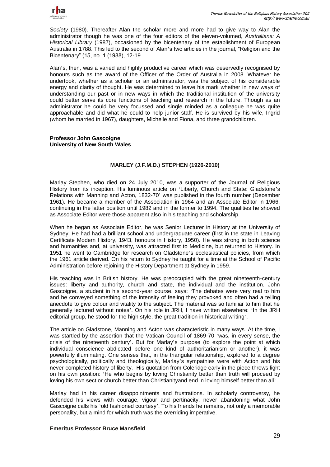

*Society* (1980). Thereafter Alan the scholar more and more had to give way to Alan the administrator though he was one of the four editors of the eleven-volumed, *Australians: A Historical Library* (1987), occasioned by the bicentenary of the establishment of European Australia in 1788. This led to the second of Alan's two articles in the journal, "Religion and the Bicentenary‖ (15, no. 1 (1988), 12-19.

Alan's, then, was a varied and highly productive career which was deservedly recognised by honours such as the award of the Officer of the Order of Australia in 2008. Whatever he undertook, whether as a scholar or an administrator, was the subject of his considerable energy and clarity of thought. He was determined to leave his mark whether in new ways of understanding our past or in new ways in which the traditional institution of the university could better serve its core functions of teaching and research in the future. Though as an administrator he could be very focussed and single minded as a colleague he was quite approachable and did what he could to help junior staff. He is survived by his wife, Ingrid (whom he married in 1967), daughters, Michelle and Fiona, and three grandchildren.

#### **Professor John Gascoigne University of New South Wales**

## **MARLEY (J.F.M.D.) STEPHEN (1926-2010)**

Marlay Stephen, who died on 24 July 2010, was a supporter of the Journal of Religious History from its inception. His luminous article on 'Liberty, Church and State: Gladstone's Relations with Manning and Acton, 1832-70' was published in the fourth number (December 1961). He became a member of the Association in 1964 and an Associate Editor in 1966, continuing in the latter position until 1982 and in the former to 1994. The qualities he showed as Associate Editor were those apparent also in his teaching and scholarship.

When he began as Associate Editor, he was Senior Lecturer in History at the University of Sydney. He had had a brilliant school and undergraduate career (first in the state in Leaving Certificate Modern History, 1943, honours in History, 1950). He was strong in both science and humanities and, at university, was attracted first to Medicine, but returned to History. In 1951 he went to Cambridge for research on Gladstone's ecclesiastical policies, from which the 1961 article derived. On his return to Sydney he taught for a time at the School of Pacific Administration before rejoining the History Department at Sydney in 1959.

His teaching was in British history. He was preoccupied with the great nineteenth-century issues: liberty and authority, church and state, the individual and the institution. John Gascoigne, a student in his second-year course, says: 'The debates were very real to him and he conveyed something of the intensity of feeling they provoked and often had a telling anecdote to give colour and vitality to the subject. The material was so familiar to him that he generally lectured without notes'. On his role in JRH, I have written elsewhere: 'In the JRH editorial group, he stood for the high style, the great tradition in historical writing'.

The article on Gladstone, Manning and Acton was characteristic in many ways. At the time, I was startled by the assertion that the Vatican Council of 1869-70 'was, in every sense, the crisis of the nineteenth century'. But for Marlay's purpose (to explore the point at which individual conscience abdicated before one kind of authoritarianism or another), it was powerfully illuminating. One senses that, in the triangular relationship, explored to a degree psychologically, politically and theologically, Marlay's sympathies were with Acton and his never-completed history of liberty. His quotation from Coleridge early in the piece throws light on his own position: 'He who begins by loving Christianity better than truth will proceed by loving his own sect or church better than Christianityand end in loving himself better than all'.

Marlay had in his career disappointments and frustrations. In scholarly controversy, he defended his views with courage, vigour and pertinacity, never abandoning what John Gascoigne calls his 'old fashioned courtesy'. To his friends he remains, not only a memorable personality, but a mind for which truth was the overriding imperative.

#### **Emeritus Professor Bruce Mansfield**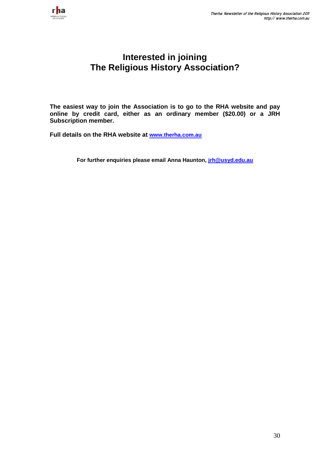

# **Interested in joining The Religious History Association?**

**The easiest way to join the Association is to go to the RHA website and pay online by credit card, either as an ordinary member (\$20.00) or a JRH Subscription member.**

**Full details on the RHA website at [www.therha.com.au](http://www.therha.com.au/)**

**For further enquiries please email Anna Haunton, [jrh@usyd.edu.au](mailto:jrh@usyd.edu.au)**